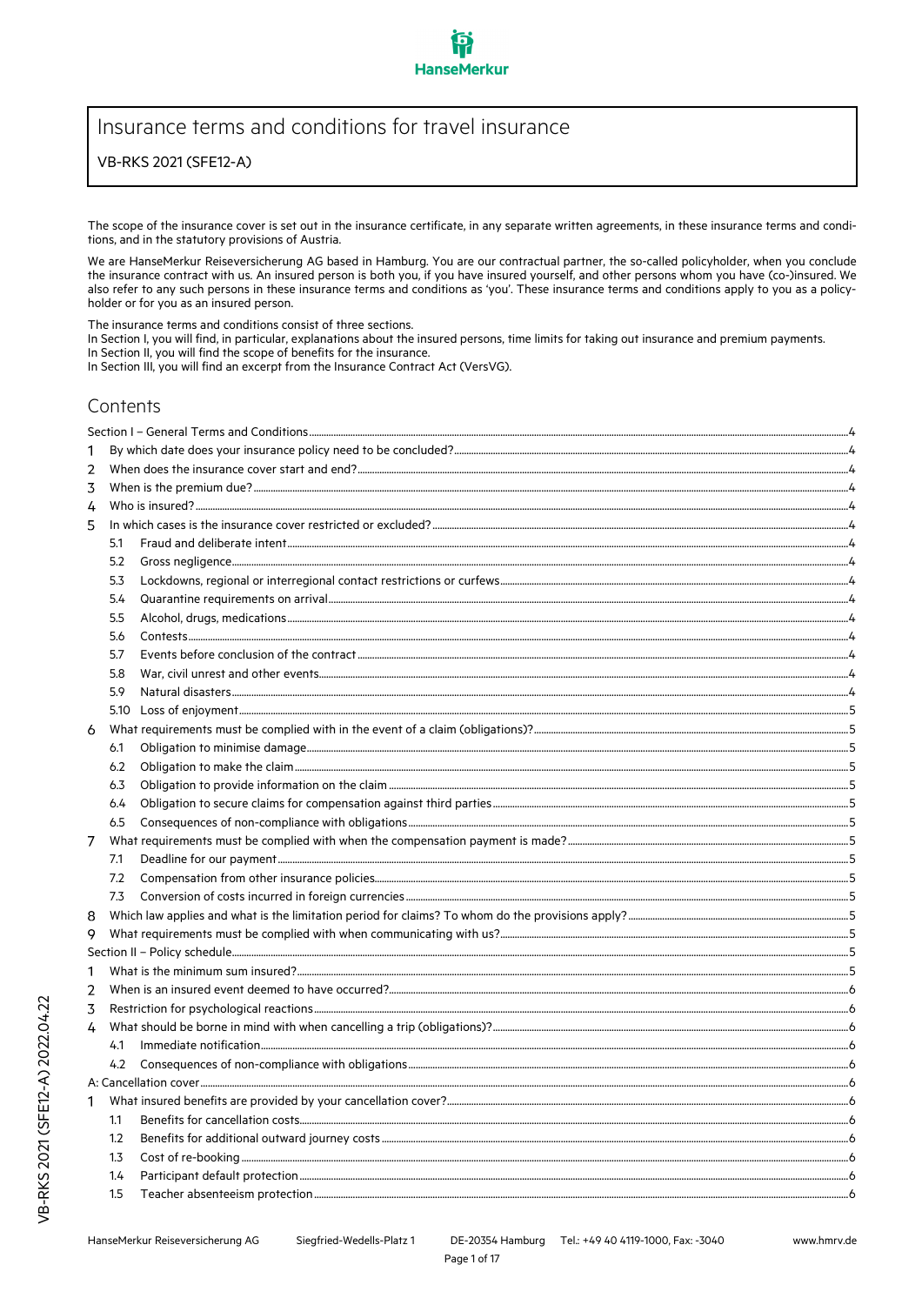# Insurance terms and conditions for travel insurance

## VB-RKS 2021 (SFE12-A)

The scope of the insurance cover is set out in the insurance certificate, in any separate written agreements, in these insurance terms and conditions, and in the statutory provisions of Austria.

We are HanseMerkur Reiseversicherung AG based in Hamburg. You are our contractual partner, the so-called policyholder, when you conclude the insurance contract with us. An insured person is both you, if you have insured yourself, and other persons whom you have (co-)insured. We also refer to any such persons in these insurance terms and conditions as 'you'. These insurance terms and conditions apply to you as a policyholder or for you as an insured person.

The insurance terms and conditions consist of three sections.

In Section I, you will find, in particular, explanations about the insured persons, time limits for taking out insurance and premium payments. In Section II, you will find the scope of benefits for the insurance.

In Section III, you will find an excerpt from the Insurance Contract Act (VersVG).

# Contents

| 1 |                  |                                |  |  |  |  |  |
|---|------------------|--------------------------------|--|--|--|--|--|
| 2 |                  |                                |  |  |  |  |  |
| 3 |                  |                                |  |  |  |  |  |
| 4 |                  |                                |  |  |  |  |  |
| 5 |                  |                                |  |  |  |  |  |
|   | 5.1              |                                |  |  |  |  |  |
|   | 5.2              |                                |  |  |  |  |  |
|   | 5.3              |                                |  |  |  |  |  |
|   | 5.4              |                                |  |  |  |  |  |
|   | 5.5              |                                |  |  |  |  |  |
|   | 5.6              |                                |  |  |  |  |  |
|   | 5.7              |                                |  |  |  |  |  |
|   | 5.8              |                                |  |  |  |  |  |
|   | 5.9              |                                |  |  |  |  |  |
|   |                  |                                |  |  |  |  |  |
| 6 |                  |                                |  |  |  |  |  |
|   | 6.1              |                                |  |  |  |  |  |
|   | 6.2              |                                |  |  |  |  |  |
|   | 6.3              |                                |  |  |  |  |  |
|   | 6.4              |                                |  |  |  |  |  |
|   | 6.5              |                                |  |  |  |  |  |
| 7 |                  |                                |  |  |  |  |  |
|   | 7.1              |                                |  |  |  |  |  |
|   | 7.2              |                                |  |  |  |  |  |
|   | 7.3              |                                |  |  |  |  |  |
| 8 |                  |                                |  |  |  |  |  |
| 9 |                  |                                |  |  |  |  |  |
|   |                  |                                |  |  |  |  |  |
| 1 |                  |                                |  |  |  |  |  |
| 2 |                  |                                |  |  |  |  |  |
| 3 |                  |                                |  |  |  |  |  |
| 4 |                  |                                |  |  |  |  |  |
|   | 4.1              |                                |  |  |  |  |  |
|   | 4.2              |                                |  |  |  |  |  |
|   |                  |                                |  |  |  |  |  |
| 1 |                  |                                |  |  |  |  |  |
|   | 1.1              |                                |  |  |  |  |  |
|   | $1.2\phantom{0}$ |                                |  |  |  |  |  |
|   | $1.3\phantom{0}$ |                                |  |  |  |  |  |
|   | 1.4              |                                |  |  |  |  |  |
|   | 15               | Teacher abcentesism protection |  |  |  |  |  |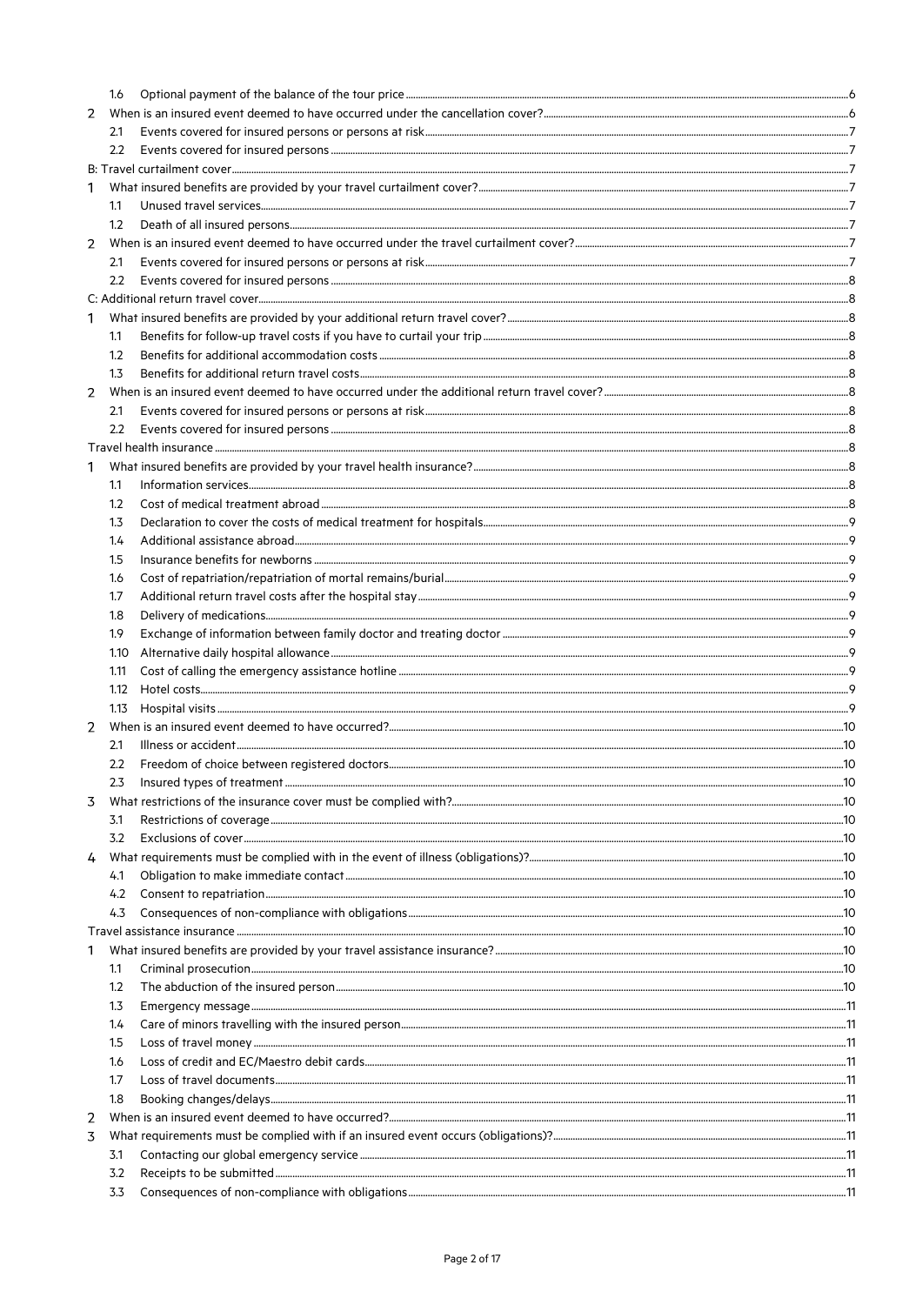|   | 1.6  |  |  |  |  |  |
|---|------|--|--|--|--|--|
| 2 |      |  |  |  |  |  |
|   | 2.1  |  |  |  |  |  |
|   | 2.2  |  |  |  |  |  |
|   |      |  |  |  |  |  |
| 1 |      |  |  |  |  |  |
|   | 1.1  |  |  |  |  |  |
|   | 1.2  |  |  |  |  |  |
| 2 |      |  |  |  |  |  |
|   | 2.1  |  |  |  |  |  |
|   | 2.2  |  |  |  |  |  |
|   |      |  |  |  |  |  |
| 1 |      |  |  |  |  |  |
|   | 1.1  |  |  |  |  |  |
|   | 1.2  |  |  |  |  |  |
|   | 1.3  |  |  |  |  |  |
| 2 |      |  |  |  |  |  |
|   | 2.1  |  |  |  |  |  |
|   |      |  |  |  |  |  |
|   | 2.2  |  |  |  |  |  |
|   |      |  |  |  |  |  |
| 1 |      |  |  |  |  |  |
|   | 1.1  |  |  |  |  |  |
|   | 1.2  |  |  |  |  |  |
|   | 1.3  |  |  |  |  |  |
|   | 1.4  |  |  |  |  |  |
|   | 1.5  |  |  |  |  |  |
|   | 1.6  |  |  |  |  |  |
|   | 1.7  |  |  |  |  |  |
|   | 1.8  |  |  |  |  |  |
|   | 1.9  |  |  |  |  |  |
|   | 1.10 |  |  |  |  |  |
|   | 1.11 |  |  |  |  |  |
|   | 1.12 |  |  |  |  |  |
|   | 1.13 |  |  |  |  |  |
| 2 |      |  |  |  |  |  |
|   | 2.1  |  |  |  |  |  |
|   | 2.2  |  |  |  |  |  |
|   |      |  |  |  |  |  |
| 3 |      |  |  |  |  |  |
|   | 3.1  |  |  |  |  |  |
|   | 3.2  |  |  |  |  |  |
| 4 |      |  |  |  |  |  |
|   | 4.1  |  |  |  |  |  |
|   |      |  |  |  |  |  |
|   | 4.2  |  |  |  |  |  |
|   | 4.3  |  |  |  |  |  |
|   |      |  |  |  |  |  |
| 1 |      |  |  |  |  |  |
|   | 1.1  |  |  |  |  |  |
|   | 1.2  |  |  |  |  |  |
|   | 1.3  |  |  |  |  |  |
|   | 1.4  |  |  |  |  |  |
|   | 1.5  |  |  |  |  |  |
|   | 1.6  |  |  |  |  |  |
|   | 1.7  |  |  |  |  |  |
|   | 1.8  |  |  |  |  |  |
| 2 |      |  |  |  |  |  |
| 3 |      |  |  |  |  |  |
|   | 3.1  |  |  |  |  |  |
|   | 3.2  |  |  |  |  |  |
|   | 3.3  |  |  |  |  |  |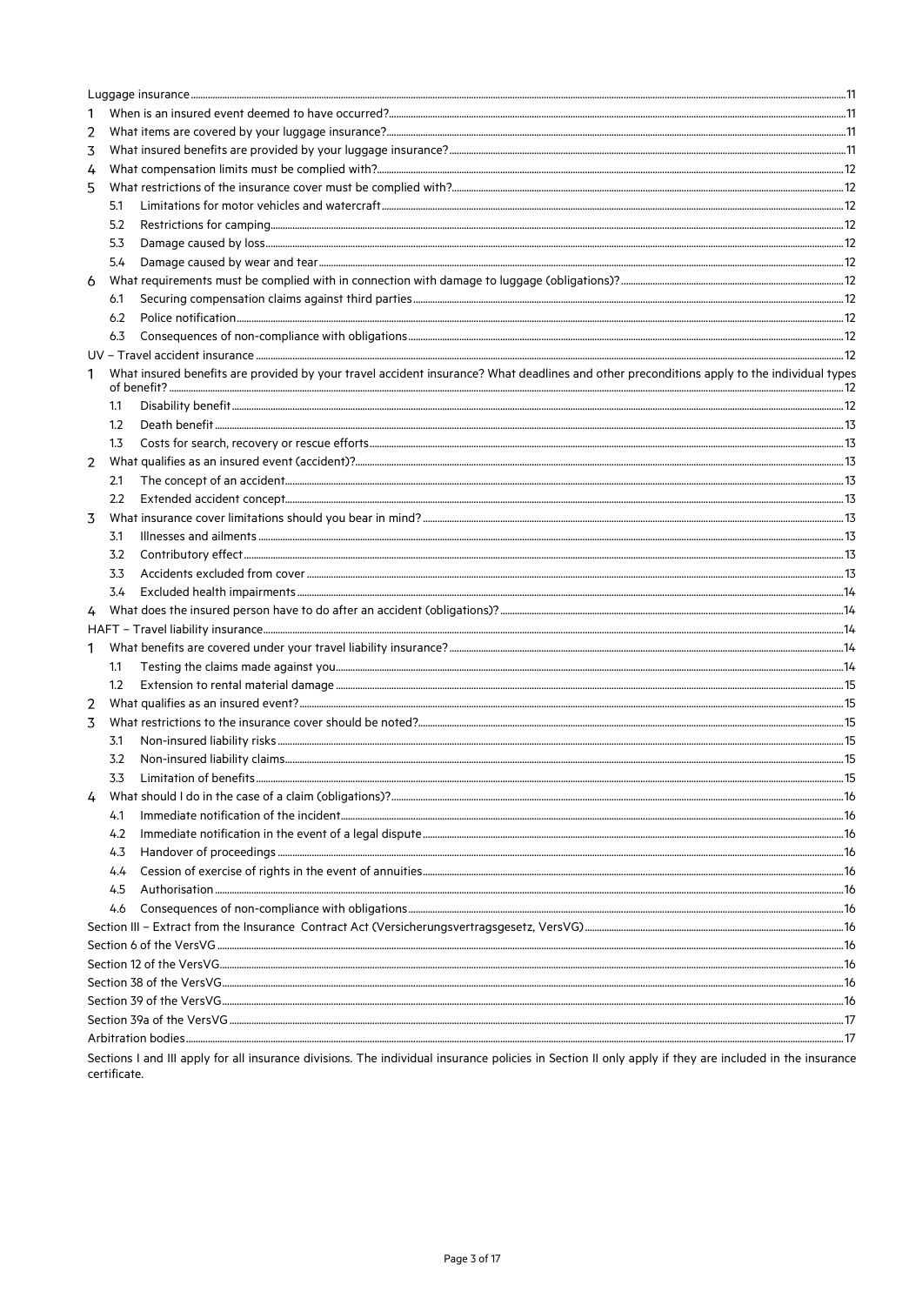| 1 |                  |                                                                                                                                            |    |  |  |  |
|---|------------------|--------------------------------------------------------------------------------------------------------------------------------------------|----|--|--|--|
| 2 |                  |                                                                                                                                            |    |  |  |  |
| 3 |                  |                                                                                                                                            |    |  |  |  |
| 4 |                  |                                                                                                                                            |    |  |  |  |
| 5 |                  |                                                                                                                                            |    |  |  |  |
|   | 5.1              |                                                                                                                                            |    |  |  |  |
|   | 5.2              |                                                                                                                                            |    |  |  |  |
|   | 5.3              |                                                                                                                                            |    |  |  |  |
|   | 5.4              |                                                                                                                                            |    |  |  |  |
| 6 |                  |                                                                                                                                            |    |  |  |  |
|   | 6.1              |                                                                                                                                            |    |  |  |  |
|   | 6.2              |                                                                                                                                            |    |  |  |  |
|   | 6.3              |                                                                                                                                            |    |  |  |  |
|   |                  |                                                                                                                                            |    |  |  |  |
| 1 |                  | What insured benefits are provided by your travel accident insurance? What deadlines and other preconditions apply to the individual types |    |  |  |  |
|   | 1.1              |                                                                                                                                            |    |  |  |  |
|   | 1.2              |                                                                                                                                            |    |  |  |  |
|   | 1.3              |                                                                                                                                            |    |  |  |  |
| 2 |                  |                                                                                                                                            |    |  |  |  |
|   | 2.1              |                                                                                                                                            |    |  |  |  |
|   | 2.2              |                                                                                                                                            |    |  |  |  |
| 3 |                  |                                                                                                                                            |    |  |  |  |
|   | 3.1              |                                                                                                                                            |    |  |  |  |
|   | 3.2              |                                                                                                                                            |    |  |  |  |
|   | 3.3              |                                                                                                                                            |    |  |  |  |
|   | 3.4              |                                                                                                                                            |    |  |  |  |
| 4 |                  |                                                                                                                                            |    |  |  |  |
|   |                  |                                                                                                                                            |    |  |  |  |
| 1 |                  |                                                                                                                                            |    |  |  |  |
|   | 1.1              |                                                                                                                                            |    |  |  |  |
|   | $1.2\phantom{0}$ |                                                                                                                                            |    |  |  |  |
| 2 |                  |                                                                                                                                            |    |  |  |  |
| 3 |                  |                                                                                                                                            |    |  |  |  |
|   | 3.1              |                                                                                                                                            |    |  |  |  |
|   | 3.2              |                                                                                                                                            |    |  |  |  |
|   |                  | Limitation of benefits                                                                                                                     | 15 |  |  |  |
|   |                  |                                                                                                                                            |    |  |  |  |
|   | 4.1              |                                                                                                                                            |    |  |  |  |
|   | 4.2              |                                                                                                                                            |    |  |  |  |
|   | 4.3              |                                                                                                                                            |    |  |  |  |
|   | 4.4              |                                                                                                                                            |    |  |  |  |
|   | 4.5              |                                                                                                                                            |    |  |  |  |
|   | 4.6              |                                                                                                                                            |    |  |  |  |
|   |                  |                                                                                                                                            |    |  |  |  |
|   |                  |                                                                                                                                            |    |  |  |  |
|   |                  |                                                                                                                                            |    |  |  |  |
|   |                  |                                                                                                                                            |    |  |  |  |
|   |                  |                                                                                                                                            |    |  |  |  |
|   |                  |                                                                                                                                            |    |  |  |  |
|   |                  |                                                                                                                                            |    |  |  |  |
|   |                  |                                                                                                                                            |    |  |  |  |

Sections I and III apply for all insurance divisions. The individual insurance policies in Section II only apply if they are included in the insurance certificate.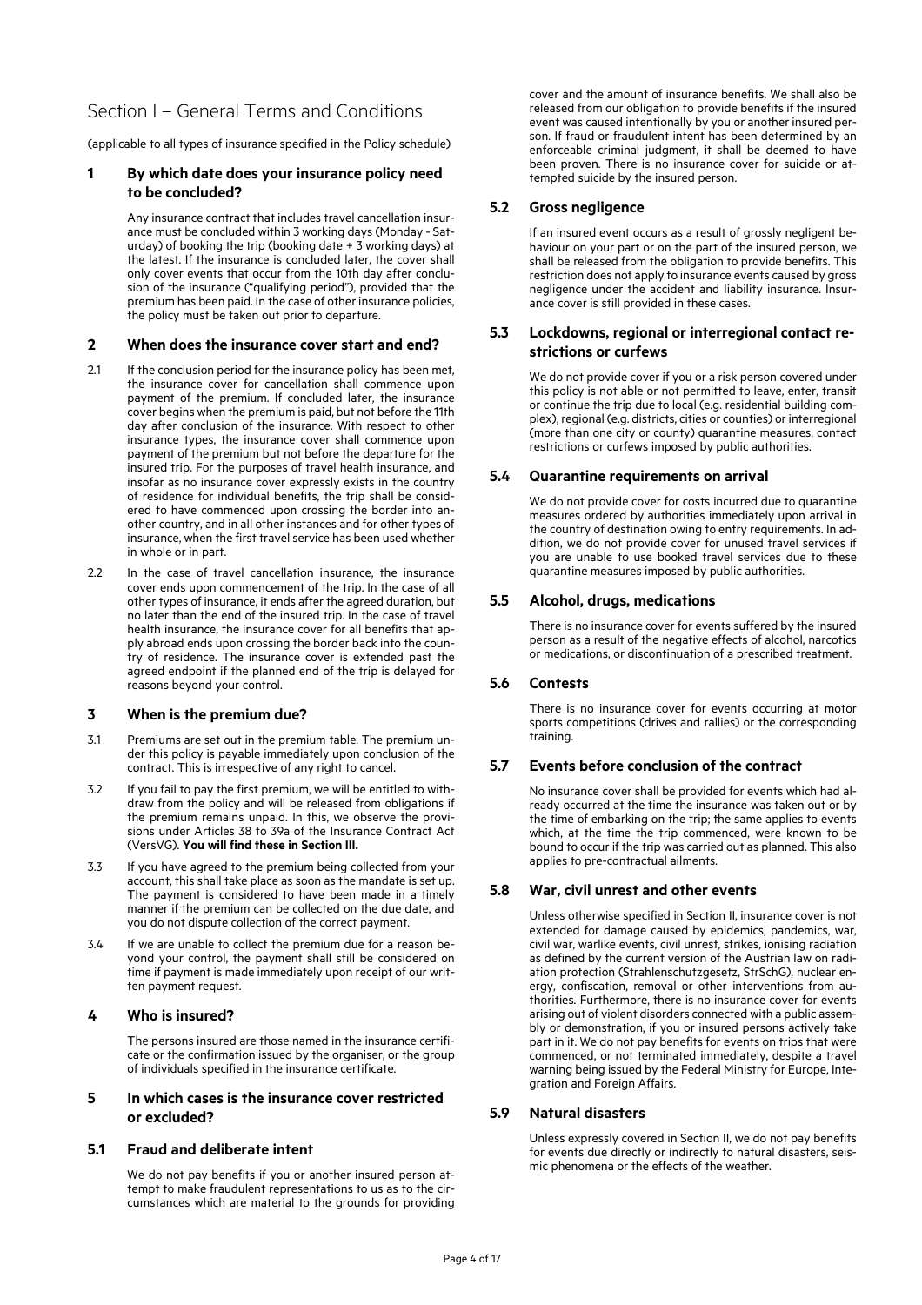# Section I – General Terms and Conditions

(applicable to all types of insurance specified in the Policy schedule)

## **1 By which date does your insurance policy need to be concluded?**

Any insurance contract that includes travel cancellation insurance must be concluded within 3 working days (Monday - Saturday) of booking the trip (booking date + 3 working days) at the latest. If the insurance is concluded later, the cover shall only cover events that occur from the 10th day after conclusion of the insurance ("qualifying period"), provided that the premium has been paid. In the case of other insurance policies, the policy must be taken out prior to departure.

### **2 When does the insurance cover start and end?**

- 2.1 If the conclusion period for the insurance policy has been met. the insurance cover for cancellation shall commence upon payment of the premium. If concluded later, the insurance cover begins when the premium is paid, but not before the 11th day after conclusion of the insurance. With respect to other insurance types, the insurance cover shall commence upon payment of the premium but not before the departure for the insured trip. For the purposes of travel health insurance, and insofar as no insurance cover expressly exists in the country of residence for individual benefits, the trip shall be considered to have commenced upon crossing the border into another country, and in all other instances and for other types of insurance, when the first travel service has been used whether in whole or in part.
- 2.2 In the case of travel cancellation insurance, the insurance cover ends upon commencement of the trip. In the case of all other types of insurance, it ends after the agreed duration, but no later than the end of the insured trip. In the case of travel health insurance, the insurance cover for all benefits that apply abroad ends upon crossing the border back into the country of residence. The insurance cover is extended past the agreed endpoint if the planned end of the trip is delayed for reasons beyond your control.

### **3 When is the premium due?**

- 3.1 Premiums are set out in the premium table. The premium under this policy is payable immediately upon conclusion of the contract. This is irrespective of any right to cancel.
- 3.2 If you fail to pay the first premium, we will be entitled to withdraw from the policy and will be released from obligations if the premium remains unpaid. In this, we observe the provisions under Articles 38 to 39a of the Insurance Contract Act (VersVG). **You will find these in Section III.**
- 3.3 If you have agreed to the premium being collected from your account, this shall take place as soon as the mandate is set up. The payment is considered to have been made in a timely manner if the premium can be collected on the due date, and you do not dispute collection of the correct payment.
- 3.4 If we are unable to collect the premium due for a reason beyond your control, the payment shall still be considered on time if payment is made immediately upon receipt of our written payment request.

### **4 Who is insured?**

The persons insured are those named in the insurance certificate or the confirmation issued by the organiser, or the group of individuals specified in the insurance certificate.

## **5 In which cases is the insurance cover restricted or excluded?**

### **5.1 Fraud and deliberate intent**

We do not pay benefits if you or another insured person attempt to make fraudulent representations to us as to the circumstances which are material to the grounds for providing cover and the amount of insurance benefits. We shall also be released from our obligation to provide benefits if the insured event was caused intentionally by you or another insured person. If fraud or fraudulent intent has been determined by an enforceable criminal judgment, it shall be deemed to have been proven. There is no insurance cover for suicide or attempted suicide by the insured person.

## **5.2 Gross negligence**

If an insured event occurs as a result of grossly negligent behaviour on your part or on the part of the insured person, we shall be released from the obligation to provide benefits. This restriction does not apply to insurance events caused by gross negligence under the accident and liability insurance. Insurance cover is still provided in these cases.

## **5.3 Lockdowns, regional or interregional contact restrictions or curfews**

We do not provide cover if you or a risk person covered under this policy is not able or not permitted to leave, enter, transit or continue the trip due to local (e.g. residential building complex), regional (e.g. districts, cities or counties) or interregional (more than one city or county) quarantine measures, contact restrictions or curfews imposed by public authorities.

### **5.4 Quarantine requirements on arrival**

We do not provide cover for costs incurred due to quarantine measures ordered by authorities immediately upon arrival in the country of destination owing to entry requirements. In addition, we do not provide cover for unused travel services if you are unable to use booked travel services due to these quarantine measures imposed by public authorities.

### **5.5 Alcohol, drugs, medications**

There is no insurance cover for events suffered by the insured person as a result of the negative effects of alcohol, narcotics or medications, or discontinuation of a prescribed treatment.

### **5.6 Contests**

There is no insurance cover for events occurring at motor sports competitions (drives and rallies) or the corresponding training.

### **5.7 Events before conclusion of the contract**

No insurance cover shall be provided for events which had already occurred at the time the insurance was taken out or by the time of embarking on the trip; the same applies to events which, at the time the trip commenced, were known to be bound to occur if the trip was carried out as planned. This also applies to pre-contractual ailments.

### **5.8 War, civil unrest and other events**

Unless otherwise specified in Section II, insurance cover is not extended for damage caused by epidemics, pandemics, war, civil war, warlike events, civil unrest, strikes, ionising radiation as defined by the current version of the Austrian law on radiation protection (Strahlenschutzgesetz, StrSchG), nuclear energy, confiscation, removal or other interventions from authorities. Furthermore, there is no insurance cover for events arising out of violent disorders connected with a public assembly or demonstration, if you or insured persons actively take part in it. We do not pay benefits for events on trips that were commenced, or not terminated immediately, despite a travel warning being issued by the Federal Ministry for Europe, Integration and Foreign Affairs.

### **5.9 Natural disasters**

Unless expressly covered in Section II, we do not pay benefits for events due directly or indirectly to natural disasters, seismic phenomena or the effects of the weather.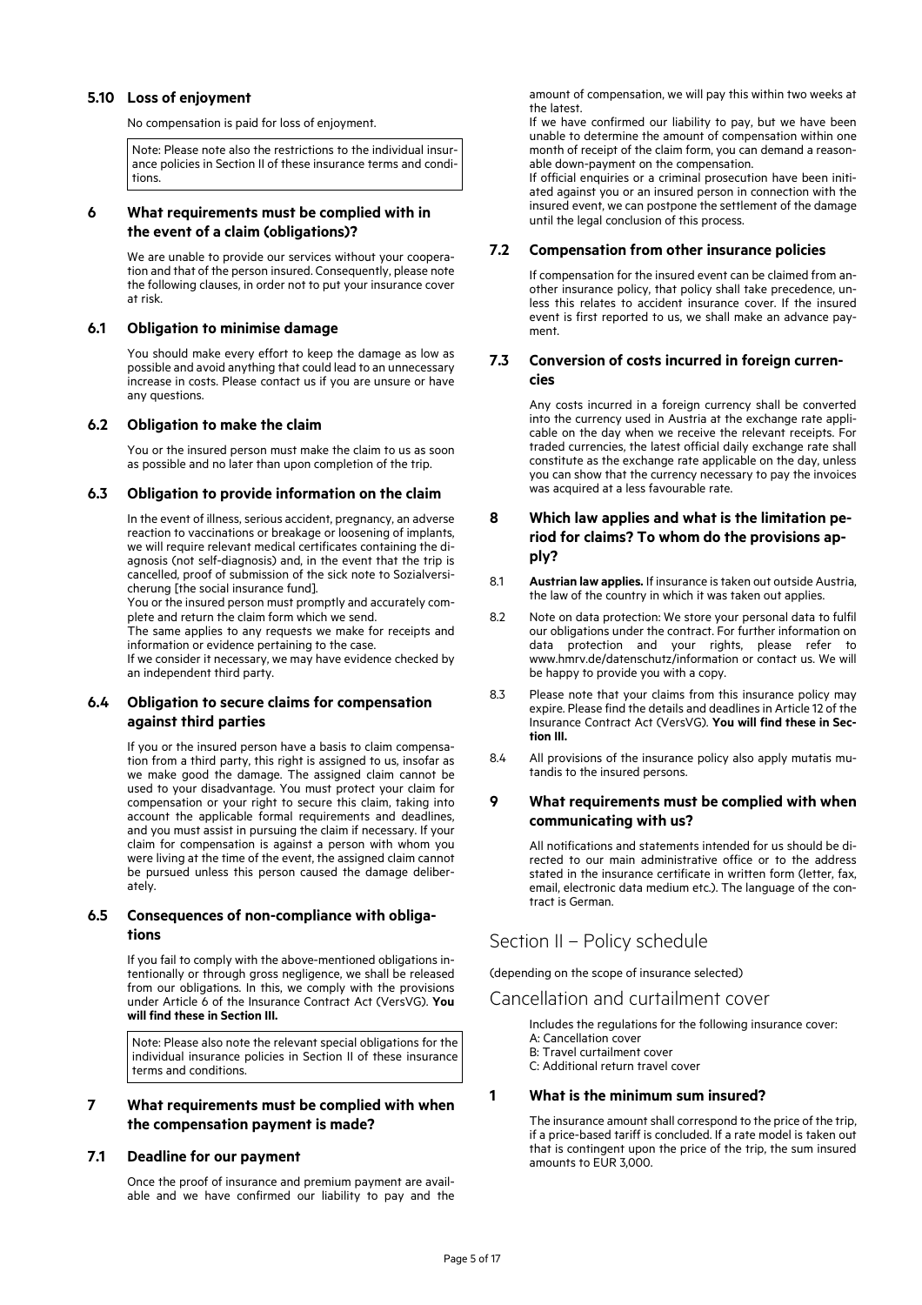### **5.10 Loss of enjoyment**

No compensation is paid for loss of enjoyment.

Note: Please note also the restrictions to the individual insurance policies in Section II of these insurance terms and conditions.

## **6 What requirements must be complied with in the event of a claim (obligations)?**

We are unable to provide our services without your cooperation and that of the person insured. Consequently, please note the following clauses, in order not to put your insurance cover at risk.

#### **6.1 Obligation to minimise damage**

You should make every effort to keep the damage as low as possible and avoid anything that could lead to an unnecessary increase in costs. Please contact us if you are unsure or have any questions.

### **6.2 Obligation to make the claim**

You or the insured person must make the claim to us as soon as possible and no later than upon completion of the trip.

#### **6.3 Obligation to provide information on the claim**

In the event of illness, serious accident, pregnancy, an adverse reaction to vaccinations or breakage or loosening of implants, we will require relevant medical certificates containing the diagnosis (not self-diagnosis) and, in the event that the trip is cancelled, proof of submission of the sick note to Sozialversicherung [the social insurance fund].

You or the insured person must promptly and accurately complete and return the claim form which we send.

The same applies to any requests we make for receipts and information or evidence pertaining to the case.

If we consider it necessary, we may have evidence checked by an independent third party.

## **6.4 Obligation to secure claims for compensation against third parties**

If you or the insured person have a basis to claim compensation from a third party, this right is assigned to us, insofar as we make good the damage. The assigned claim cannot be used to your disadvantage. You must protect your claim for compensation or your right to secure this claim, taking into account the applicable formal requirements and deadlines, and you must assist in pursuing the claim if necessary. If your claim for compensation is against a person with whom you were living at the time of the event, the assigned claim cannot be pursued unless this person caused the damage deliberately.

## **6.5 Consequences of non-compliance with obligations**

If you fail to comply with the above-mentioned obligations intentionally or through gross negligence, we shall be released from our obligations. In this, we comply with the provisions under Article 6 of the Insurance Contract Act (VersVG). **You will find these in Section III.** 

Note: Please also note the relevant special obligations for the individual insurance policies in Section II of these insurance terms and conditions.

## **7 What requirements must be complied with when the compensation payment is made?**

### **7.1 Deadline for our payment**

Once the proof of insurance and premium payment are available and we have confirmed our liability to pay and the amount of compensation, we will pay this within two weeks at the latest.

If we have confirmed our liability to pay, but we have been unable to determine the amount of compensation within one month of receipt of the claim form, you can demand a reasonable down-payment on the compensation.

If official enquiries or a criminal prosecution have been initiated against you or an insured person in connection with the insured event, we can postpone the settlement of the damage until the legal conclusion of this process.

### **7.2 Compensation from other insurance policies**

If compensation for the insured event can be claimed from another insurance policy, that policy shall take precedence, unless this relates to accident insurance cover. If the insured event is first reported to us, we shall make an advance payment.

#### **7.3 Conversion of costs incurred in foreign currencies**

Any costs incurred in a foreign currency shall be converted into the currency used in Austria at the exchange rate applicable on the day when we receive the relevant receipts. For traded currencies, the latest official daily exchange rate shall constitute as the exchange rate applicable on the day, unless you can show that the currency necessary to pay the invoices was acquired at a less favourable rate.

## **8 Which law applies and what is the limitation period for claims? To whom do the provisions apply?**

- 8.1 **Austrian law applies.** If insurance is taken out outside Austria, the law of the country in which it was taken out applies.
- 8.2 Note on data protection: We store your personal data to fulfil our obligations under the contract. For further information on data protection and your rights, please refer to www.hmrv.de/datenschutz/information or contact us. We will be happy to provide you with a copy.
- 8.3 Please note that your claims from this insurance policy may expire. Please find the details and deadlines in Article 12 of the Insurance Contract Act (VersVG). **You will find these in Section III.**
- 8.4 All provisions of the insurance policy also apply mutatis mutandis to the insured persons.

### **9 What requirements must be complied with when communicating with us?**

All notifications and statements intended for us should be directed to our main administrative office or to the address stated in the insurance certificate in written form (letter, fax, email, electronic data medium etc.). The language of the contract is German.

## Section II – Policy schedule

(depending on the scope of insurance selected)

## Cancellation and curtailment cover

Includes the regulations for the following insurance cover: A: Cancellation cover

- B: Travel curtailment cover
- C: Additional return travel cover

### **1 What is the minimum sum insured?**

The insurance amount shall correspond to the price of the trip, if a price-based tariff is concluded. If a rate model is taken out that is contingent upon the price of the trip, the sum insured amounts to EUR 3,000.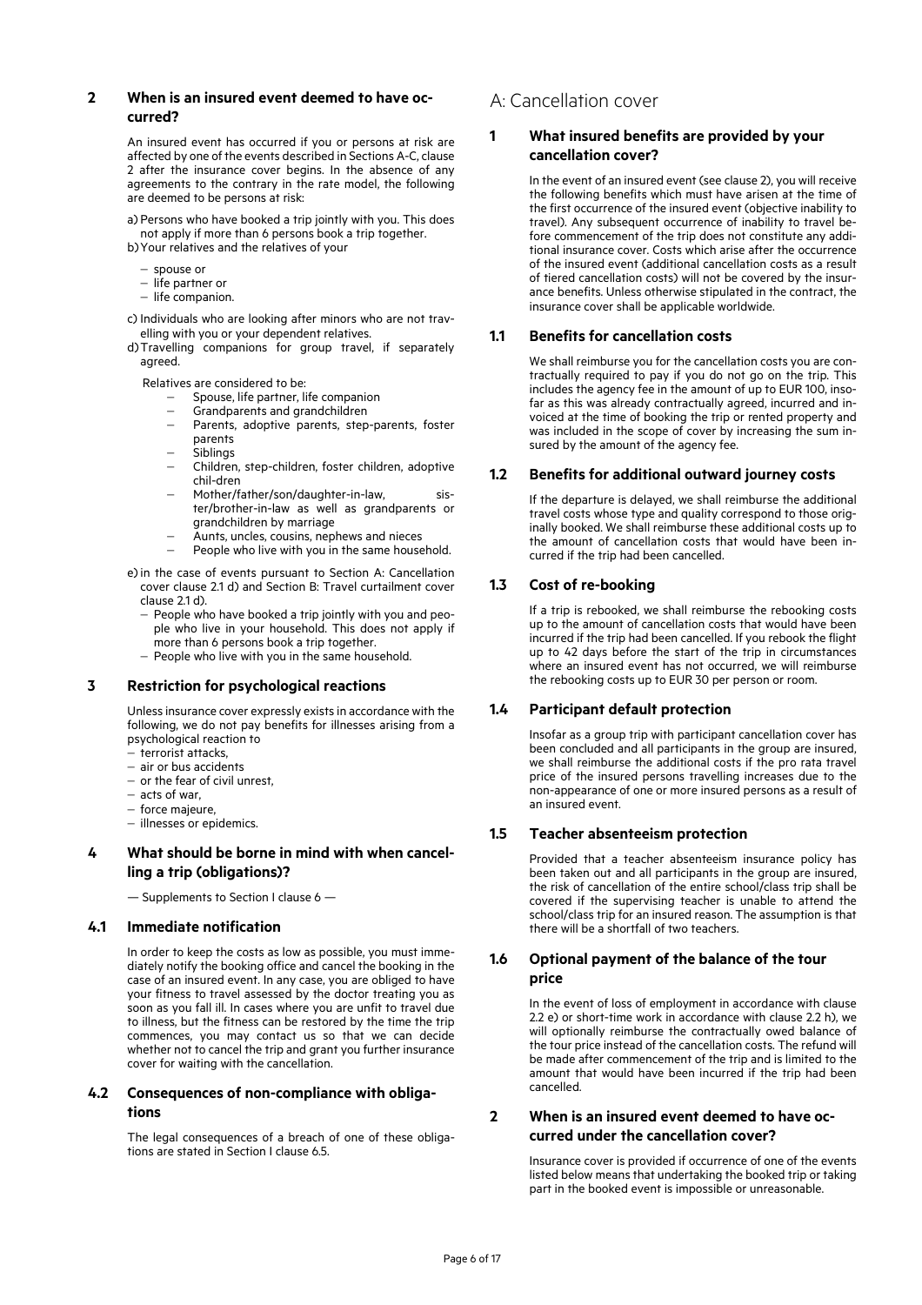## **2 When is an insured event deemed to have occurred?**

An insured event has occurred if you or persons at risk are affected by one of the events described in Sections A-C, clause 2 after the insurance cover begins. In the absence of any agreements to the contrary in the rate model, the following are deemed to be persons at risk:

a) Persons who have booked a trip jointly with you. This does not apply if more than 6 persons book a trip together. b)Your relatives and the relatives of your

- spouse or
- $-$  life partner or
- $-$  life companion.

c) Individuals who are looking after minors who are not travelling with you or your dependent relatives.

d)Travelling companions for group travel, if separately agreed.

Relatives are considered to be:

- Spouse, life partner, life companion
- Grandparents and grandchildren
- Parents, adoptive parents, step-parents, foster parents
- .<br>Siblinas
- Children, step-children, foster children, adoptive chil-dren
- Mother/father/son/daughter-in-law, sister/brother-in-law as well as grandparents or grandchildren by marriage
- Aunts, uncles, cousins, nephews and nieces
- People who live with you in the same household.

e)in the case of events pursuant to Section A: Cancellation cover clause 2.1 d) and Section B: Travel curtailment cover clause 2.1 d).

- People who have booked a trip jointly with you and people who live in your household. This does not apply if more than 6 persons book a trip together.
- $-$  People who live with you in the same household.

### **3 Restriction for psychological reactions**

Unless insurance cover expressly exists in accordance with the following, we do not pay benefits for illnesses arising from a psychological reaction to

- .<br>- terrorist attacks,
- air or bus accidents
- $-$  or the fear of civil unrest,
- acts of war,
- $-$  force majeure,
- illnesses or epidemics.

## **4 What should be borne in mind with when cancelling a trip (obligations)?**

— Supplements to Section I clause 6 —

### **4.1 Immediate notification**

In order to keep the costs as low as possible, you must immediately notify the booking office and cancel the booking in the case of an insured event. In any case, you are obliged to have your fitness to travel assessed by the doctor treating you as soon as you fall ill. In cases where you are unfit to travel due to illness, but the fitness can be restored by the time the trip commences, you may contact us so that we can decide whether not to cancel the trip and grant you further insurance cover for waiting with the cancellation.

## **4.2 Consequences of non-compliance with obligations**

The legal consequences of a breach of one of these obligations are stated in Section I clause 6.5.

# A: Cancellation cover

## **1 What insured benefits are provided by your cancellation cover?**

In the event of an insured event (see clause 2), you will receive the following benefits which must have arisen at the time of the first occurrence of the insured event (objective inability to travel). Any subsequent occurrence of inability to travel before commencement of the trip does not constitute any additional insurance cover. Costs which arise after the occurrence of the insured event (additional cancellation costs as a result of tiered cancellation costs) will not be covered by the insurance benefits. Unless otherwise stipulated in the contract, the insurance cover shall be applicable worldwide.

### **1.1 Benefits for cancellation costs**

We shall reimburse you for the cancellation costs you are contractually required to pay if you do not go on the trip. This includes the agency fee in the amount of up to EUR 100, insofar as this was already contractually agreed, incurred and invoiced at the time of booking the trip or rented property and was included in the scope of cover by increasing the sum insured by the amount of the agency fee.

### **1.2 Benefits for additional outward journey costs**

If the departure is delayed, we shall reimburse the additional travel costs whose type and quality correspond to those originally booked. We shall reimburse these additional costs up to the amount of cancellation costs that would have been incurred if the trip had been cancelled.

## **1.3 Cost of re-booking**

If a trip is rebooked, we shall reimburse the rebooking costs up to the amount of cancellation costs that would have been incurred if the trip had been cancelled. If you rebook the flight up to 42 days before the start of the trip in circumstances where an insured event has not occurred, we will reimburse the rebooking costs up to EUR 30 per person or room.

### **1.4 Participant default protection**

Insofar as a group trip with participant cancellation cover has been concluded and all participants in the group are insured, we shall reimburse the additional costs if the pro rata travel price of the insured persons travelling increases due to the non-appearance of one or more insured persons as a result of an insured event.

### **1.5 Teacher absenteeism protection**

Provided that a teacher absenteeism insurance policy has been taken out and all participants in the group are insured, the risk of cancellation of the entire school/class trip shall be covered if the supervising teacher is unable to attend the school/class trip for an insured reason. The assumption is that there will be a shortfall of two teachers.

## **1.6 Optional payment of the balance of the tour price**

In the event of loss of employment in accordance with clause 2.2 e) or short-time work in accordance with clause 2.2 h), we will optionally reimburse the contractually owed balance of the tour price instead of the cancellation costs. The refund will be made after commencement of the trip and is limited to the amount that would have been incurred if the trip had been cancelled.

## **2 When is an insured event deemed to have occurred under the cancellation cover?**

Insurance cover is provided if occurrence of one of the events listed below means that undertaking the booked trip or taking part in the booked event is impossible or unreasonable.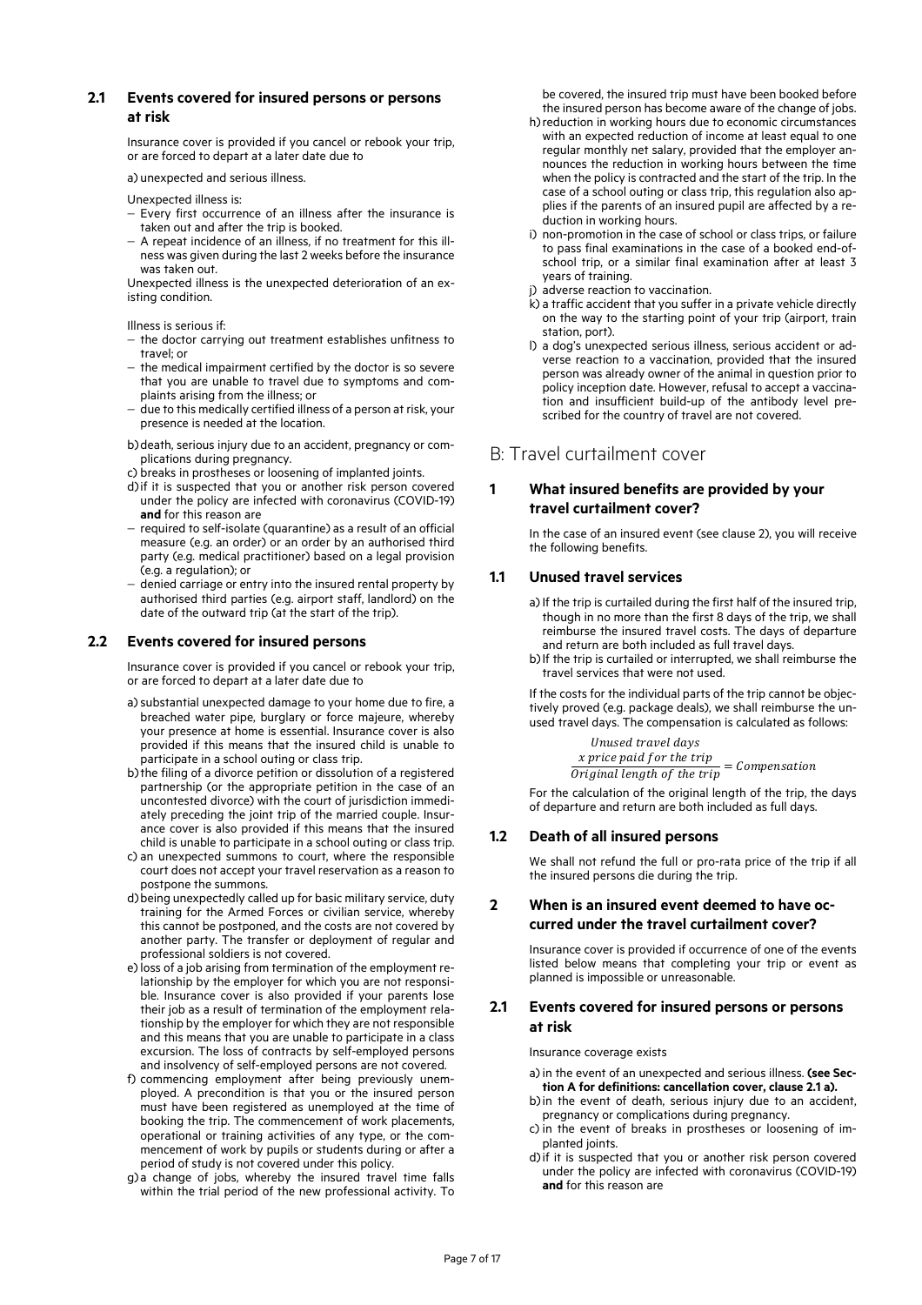## **2.1 Events covered for insured persons or persons at risk**

Insurance cover is provided if you cancel or rebook your trip, or are forced to depart at a later date due to

a) unexpected and serious illness.

Unexpected illness is:

- $-$  Every first occurrence of an illness after the insurance is taken out and after the trip is booked.
- A repeat incidence of an illness, if no treatment for this illness was given during the last 2 weeks before the insurance was taken out.

Unexpected illness is the unexpected deterioration of an existing condition.

Illness is serious if:

- $-$  the doctor carrying out treatment establishes unfitness to travel; or
- $-$  the medical impairment certified by the doctor is so severe that you are unable to travel due to symptoms and complaints arising from the illness; or
- due to this medically certified illness of a person at risk, your presence is needed at the location.
- b)death, serious injury due to an accident, pregnancy or complications during pregnancy.
- c) breaks in prostheses or loosening of implanted joints.
- d)if it is suspected that you or another risk person covered under the policy are infected with coronavirus (COVID-19) **and** for this reason are
- required to self-isolate (quarantine) as a result of an official measure (e.g. an order) or an order by an authorised third party (e.g. medical practitioner) based on a legal provision (e.g. a regulation); or
- denied carriage or entry into the insured rental property by authorised third parties (e.g. airport staff, landlord) on the date of the outward trip (at the start of the trip).

## **2.2 Events covered for insured persons**

Insurance cover is provided if you cancel or rebook your trip, or are forced to depart at a later date due to

- a)substantial unexpected damage to your home due to fire, a breached water pipe, burglary or force majeure, whereby your presence at home is essential. Insurance cover is also provided if this means that the insured child is unable to participate in a school outing or class trip.
- b)the filing of a divorce petition or dissolution of a registered partnership (or the appropriate petition in the case of an uncontested divorce) with the court of jurisdiction immediately preceding the joint trip of the married couple. Insurance cover is also provided if this means that the insured child is unable to participate in a school outing or class trip.
- c) an unexpected summons to court, where the responsible court does not accept your travel reservation as a reason to postpone the summons.
- d)being unexpectedly called up for basic military service, duty training for the Armed Forces or civilian service, whereby this cannot be postponed, and the costs are not covered by another party. The transfer or deployment of regular and professional soldiers is not covered.
- e)loss of a job arising from termination of the employment relationship by the employer for which you are not responsible. Insurance cover is also provided if your parents lose their job as a result of termination of the employment relationship by the employer for which they are not responsible and this means that you are unable to participate in a class excursion. The loss of contracts by self-employed persons and insolvency of self-employed persons are not covered.
- f) commencing employment after being previously unemployed. A precondition is that you or the insured person must have been registered as unemployed at the time of booking the trip. The commencement of work placements, operational or training activities of any type, or the commencement of work by pupils or students during or after a period of study is not covered under this policy.
- g) a change of jobs, whereby the insured travel time falls within the trial period of the new professional activity. To

be covered, the insured trip must have been booked before the insured person has become aware of the change of jobs.

- h)reduction in working hours due to economic circumstances with an expected reduction of income at least equal to one regular monthly net salary, provided that the employer announces the reduction in working hours between the time when the policy is contracted and the start of the trip. In the case of a school outing or class trip, this regulation also applies if the parents of an insured pupil are affected by a reduction in working hours.
- i) non-promotion in the case of school or class trips, or failure to pass final examinations in the case of a booked end-ofschool trip, or a similar final examination after at least 3 years of training.
- j) adverse reaction to vaccination.
- k) a traffic accident that you suffer in a private vehicle directly on the way to the starting point of your trip (airport, train station, port).
- l) a dog's unexpected serious illness, serious accident or adverse reaction to a vaccination, provided that the insured person was already owner of the animal in question prior to policy inception date. However, refusal to accept a vaccination and insufficient build-up of the antibody level prescribed for the country of travel are not covered.

## B: Travel curtailment cover

## **1 What insured benefits are provided by your travel curtailment cover?**

In the case of an insured event (see clause 2), you will receive the following benefits.

## **1.1 Unused travel services**

- a) If the trip is curtailed during the first half of the insured trip, though in no more than the first 8 days of the trip, we shall reimburse the insured travel costs. The days of departure and return are both included as full travel days.
- b)If the trip is curtailed or interrupted, we shall reimburse the travel services that were not used.

If the costs for the individual parts of the trip cannot be objectively proved (e.g. package deals), we shall reimburse the unused travel days. The compensation is calculated as follows:

> Unused travel days x price paid for the trip  $\frac{R}{D}$  and length of the trip = Compensation

For the calculation of the original length of the trip, the days of departure and return are both included as full days.

## **1.2 Death of all insured persons**

We shall not refund the full or pro-rata price of the trip if all the insured persons die during the trip.

## **2 When is an insured event deemed to have occurred under the travel curtailment cover?**

Insurance cover is provided if occurrence of one of the events listed below means that completing your trip or event as planned is impossible or unreasonable.

## **2.1 Events covered for insured persons or persons at risk**

Insurance coverage exists

- a)in the event of an unexpected and serious illness. **(see Section A for definitions: cancellation cover, clause 2.1 a).**
- b) in the event of death, serious injury due to an accident. pregnancy or complications during pregnancy.
- c) in the event of breaks in prostheses or loosening of implanted joints.
- d)if it is suspected that you or another risk person covered under the policy are infected with coronavirus (COVID-19) **and** for this reason are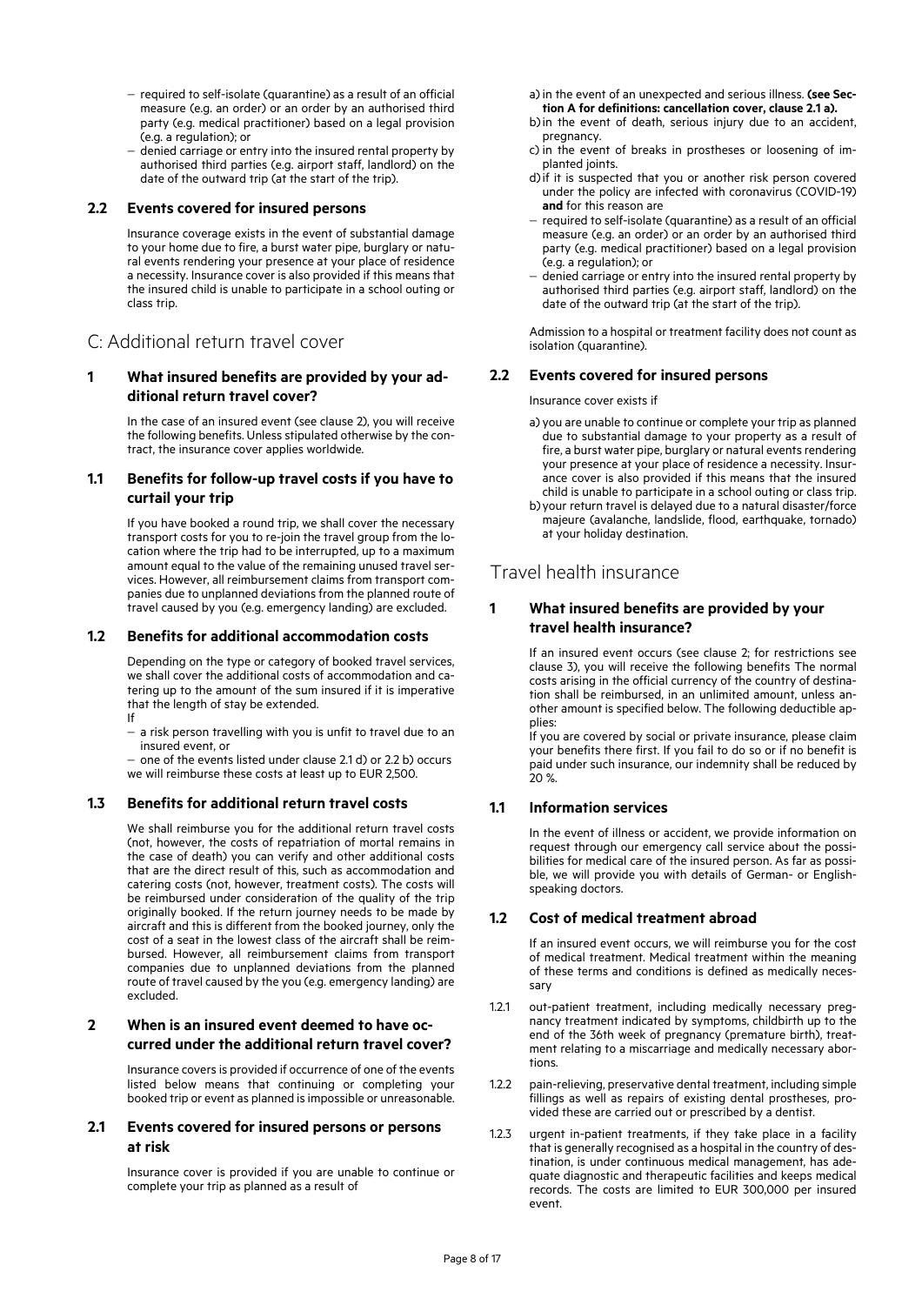- required to self-isolate (quarantine) as a result of an official measure (e.g. an order) or an order by an authorised third party (e.g. medical practitioner) based on a legal provision (e.g. a regulation); or
- denied carriage or entry into the insured rental property by authorised third parties (e.g. airport staff, landlord) on the date of the outward trip (at the start of the trip).

#### **2.2 Events covered for insured persons**

Insurance coverage exists in the event of substantial damage to your home due to fire, a burst water pipe, burglary or natural events rendering your presence at your place of residence a necessity. Insurance cover is also provided if this means that the insured child is unable to participate in a school outing or class trip.

## C: Additional return travel cover

## **1 What insured benefits are provided by your additional return travel cover?**

In the case of an insured event (see clause 2), you will receive the following benefits. Unless stipulated otherwise by the contract, the insurance cover applies worldwide.

## **1.1 Benefits for follow-up travel costs if you have to curtail your trip**

If you have booked a round trip, we shall cover the necessary transport costs for you to re-join the travel group from the location where the trip had to be interrupted, up to a maximum amount equal to the value of the remaining unused travel services. However, all reimbursement claims from transport companies due to unplanned deviations from the planned route of travel caused by you (e.g. emergency landing) are excluded.

#### **1.2 Benefits for additional accommodation costs**

Depending on the type or category of booked travel services, we shall cover the additional costs of accommodation and catering up to the amount of the sum insured if it is imperative that the length of stay be extended.

If

- a risk person travelling with you is unfit to travel due to an insured event, or

- one of the events listed under clause 2.1 d) or 2.2 b) occurs we will reimburse these costs at least up to EUR 2,500.

### **1.3 Benefits for additional return travel costs**

We shall reimburse you for the additional return travel costs (not, however, the costs of repatriation of mortal remains in the case of death) you can verify and other additional costs that are the direct result of this, such as accommodation and catering costs (not, however, treatment costs). The costs will be reimbursed under consideration of the quality of the trip originally booked. If the return journey needs to be made by aircraft and this is different from the booked journey, only the cost of a seat in the lowest class of the aircraft shall be reimbursed. However, all reimbursement claims from transport companies due to unplanned deviations from the planned route of travel caused by the you (e.g. emergency landing) are excluded.

## **2 When is an insured event deemed to have occurred under the additional return travel cover?**

Insurance covers is provided if occurrence of one of the events listed below means that continuing or completing your booked trip or event as planned is impossible or unreasonable.

## **2.1 Events covered for insured persons or persons at risk**

Insurance cover is provided if you are unable to continue or complete your trip as planned as a result of

- a)in the event of an unexpected and serious illness. **(see Section A for definitions: cancellation cover, clause 2.1 a).**
- b)in the event of death, serious injury due to an accident, pregnancy.
- c) in the event of breaks in prostheses or loosening of implanted joints.
- d)if it is suspected that you or another risk person covered under the policy are infected with coronavirus (COVID-19) **and** for this reason are
- required to self-isolate (quarantine) as a result of an official measure (e.g. an order) or an order by an authorised third party (e.g. medical practitioner) based on a legal provision (e.g. a regulation); or
- denied carriage or entry into the insured rental property by authorised third parties (e.g. airport staff, landlord) on the date of the outward trip (at the start of the trip).

Admission to a hospital or treatment facility does not count as isolation (quarantine).

## **2.2 Events covered for insured persons**

Insurance cover exists if

- a) you are unable to continue or complete your trip as planned due to substantial damage to your property as a result of fire, a burst water pipe, burglary or natural events rendering your presence at your place of residence a necessity. Insurance cover is also provided if this means that the insured child is unable to participate in a school outing or class trip.
- b)your return travel is delayed due to a natural disaster/force majeure (avalanche, landslide, flood, earthquake, tornado) at your holiday destination.

## Travel health insurance

## **1 What insured benefits are provided by your travel health insurance?**

If an insured event occurs (see clause 2; for restrictions see clause 3), you will receive the following benefits The normal costs arising in the official currency of the country of destination shall be reimbursed, in an unlimited amount, unless another amount is specified below. The following deductible applies:

If you are covered by social or private insurance, please claim your benefits there first. If you fail to do so or if no benefit is paid under such insurance, our indemnity shall be reduced by  $20%$ 

### **1.1 Information services**

In the event of illness or accident, we provide information on request through our emergency call service about the possibilities for medical care of the insured person. As far as possible, we will provide you with details of German- or Englishspeaking doctors.

### **1.2 Cost of medical treatment abroad**

If an insured event occurs, we will reimburse you for the cost of medical treatment. Medical treatment within the meaning of these terms and conditions is defined as medically necessary

- 1.2.1 out-patient treatment, including medically necessary pregnancy treatment indicated by symptoms, childbirth up to the end of the 36th week of pregnancy (premature birth), treatment relating to a miscarriage and medically necessary abortions.
- 1.2.2 pain-relieving, preservative dental treatment, including simple fillings as well as repairs of existing dental prostheses, provided these are carried out or prescribed by a dentist.
- 1.2.3 urgent in-patient treatments, if they take place in a facility that is generally recognised as a hospital in the country of destination, is under continuous medical management, has adequate diagnostic and therapeutic facilities and keeps medical records. The costs are limited to EUR 300,000 per insured event.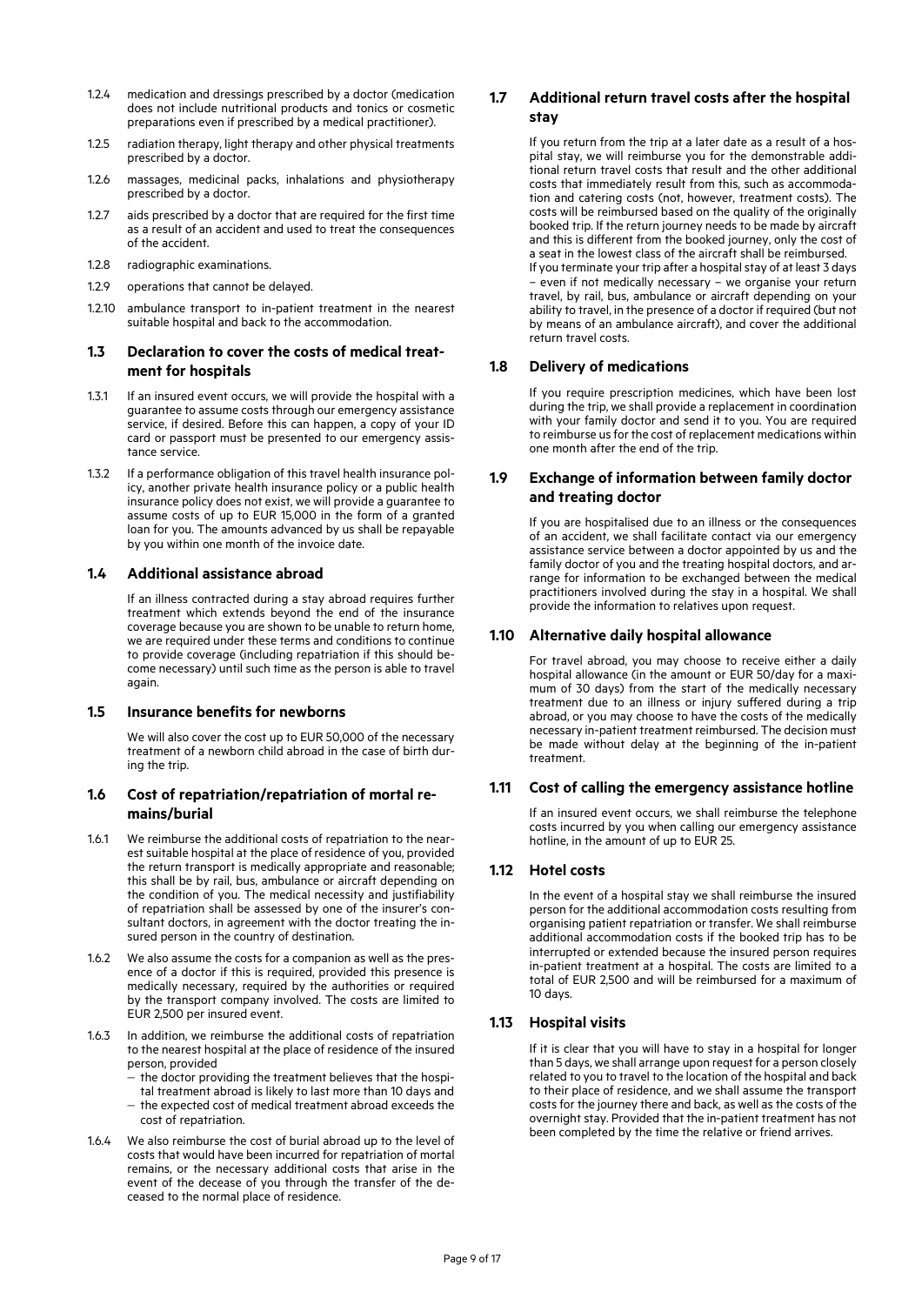- 1.2.4 medication and dressings prescribed by a doctor (medication does not include nutritional products and tonics or cosmetic preparations even if prescribed by a medical practitioner).
- 1.2.5 radiation therapy, light therapy and other physical treatments prescribed by a doctor.
- 1.2.6 massages, medicinal packs, inhalations and physiotherapy prescribed by a doctor.
- 1.2.7 aids prescribed by a doctor that are required for the first time as a result of an accident and used to treat the consequences of the accident.
- 1.2.8 radiographic examinations.
- 1.2.9 operations that cannot be delayed.
- 1.2.10 ambulance transport to in-patient treatment in the nearest suitable hospital and back to the accommodation.

## **1.3 Declaration to cover the costs of medical treatment for hospitals**

- 1.3.1 If an insured event occurs, we will provide the hospital with a guarantee to assume costs through our emergency assistance service, if desired. Before this can happen, a copy of your ID card or passport must be presented to our emergency assistance service.
- 1.3.2 If a performance obligation of this travel health insurance policy, another private health insurance policy or a public health insurance policy does not exist, we will provide a guarantee to assume costs of up to EUR 15,000 in the form of a granted loan for you. The amounts advanced by us shall be repayable by you within one month of the invoice date.

## **1.4 Additional assistance abroad**

If an illness contracted during a stay abroad requires further treatment which extends beyond the end of the insurance coverage because you are shown to be unable to return home, we are required under these terms and conditions to continue to provide coverage (including repatriation if this should become necessary) until such time as the person is able to travel again.

### **1.5 Insurance benefits for newborns**

We will also cover the cost up to EUR 50,000 of the necessary treatment of a newborn child abroad in the case of birth during the trip.

## **1.6 Cost of repatriation/repatriation of mortal remains/burial**

- 1.6.1 We reimburse the additional costs of repatriation to the nearest suitable hospital at the place of residence of you, provided the return transport is medically appropriate and reasonable; this shall be by rail, bus, ambulance or aircraft depending on the condition of you. The medical necessity and justifiability of repatriation shall be assessed by one of the insurer's consultant doctors, in agreement with the doctor treating the insured person in the country of destination.
- 1.6.2 We also assume the costs for a companion as well as the presence of a doctor if this is required, provided this presence is medically necessary, required by the authorities or required by the transport company involved. The costs are limited to EUR 2,500 per insured event.
- 1.6.3 In addition, we reimburse the additional costs of repatriation to the nearest hospital at the place of residence of the insured person, provided
	- the doctor providing the treatment believes that the hospi-
	- tal treatment abroad is likely to last more than 10 days and - the expected cost of medical treatment abroad exceeds the cost of repatriation.
- 1.6.4 We also reimburse the cost of burial abroad up to the level of costs that would have been incurred for repatriation of mortal remains, or the necessary additional costs that arise in the event of the decease of you through the transfer of the deceased to the normal place of residence.

## **1.7 Additional return travel costs after the hospital stay**

If you return from the trip at a later date as a result of a hospital stay, we will reimburse you for the demonstrable additional return travel costs that result and the other additional costs that immediately result from this, such as accommodation and catering costs (not, however, treatment costs). The costs will be reimbursed based on the quality of the originally booked trip. If the return journey needs to be made by aircraft and this is different from the booked journey, only the cost of a seat in the lowest class of the aircraft shall be reimbursed. If you terminate your trip after a hospital stay of at least 3 days – even if not medically necessary – we organise your return travel, by rail, bus, ambulance or aircraft depending on your ability to travel, in the presence of a doctor if required (but not by means of an ambulance aircraft), and cover the additional return travel costs.

## **1.8 Delivery of medications**

If you require prescription medicines, which have been lost during the trip, we shall provide a replacement in coordination with your family doctor and send it to you. You are required to reimburse us for the cost of replacement medications within one month after the end of the trip.

## **1.9 Exchange of information between family doctor and treating doctor**

If you are hospitalised due to an illness or the consequences of an accident, we shall facilitate contact via our emergency assistance service between a doctor appointed by us and the family doctor of you and the treating hospital doctors, and arrange for information to be exchanged between the medical practitioners involved during the stay in a hospital. We shall provide the information to relatives upon request.

## **1.10 Alternative daily hospital allowance**

For travel abroad, you may choose to receive either a daily hospital allowance (in the amount or EUR 50/day for a maximum of 30 days) from the start of the medically necessary treatment due to an illness or injury suffered during a trip abroad, or you may choose to have the costs of the medically necessary in-patient treatment reimbursed. The decision must be made without delay at the beginning of the in-patient treatment.

### **1.11 Cost of calling the emergency assistance hotline**

If an insured event occurs, we shall reimburse the telephone costs incurred by you when calling our emergency assistance hotline, in the amount of up to EUR 25.

## **1.12 Hotel costs**

In the event of a hospital stay we shall reimburse the insured person for the additional accommodation costs resulting from organising patient repatriation or transfer. We shall reimburse additional accommodation costs if the booked trip has to be interrupted or extended because the insured person requires in-patient treatment at a hospital. The costs are limited to a total of EUR 2,500 and will be reimbursed for a maximum of 10 days.

### **1.13 Hospital visits**

If it is clear that you will have to stay in a hospital for longer than 5 days, we shall arrange upon request for a person closely related to you to travel to the location of the hospital and back to their place of residence, and we shall assume the transport costs for the journey there and back, as well as the costs of the overnight stay. Provided that the in-patient treatment has not been completed by the time the relative or friend arrives.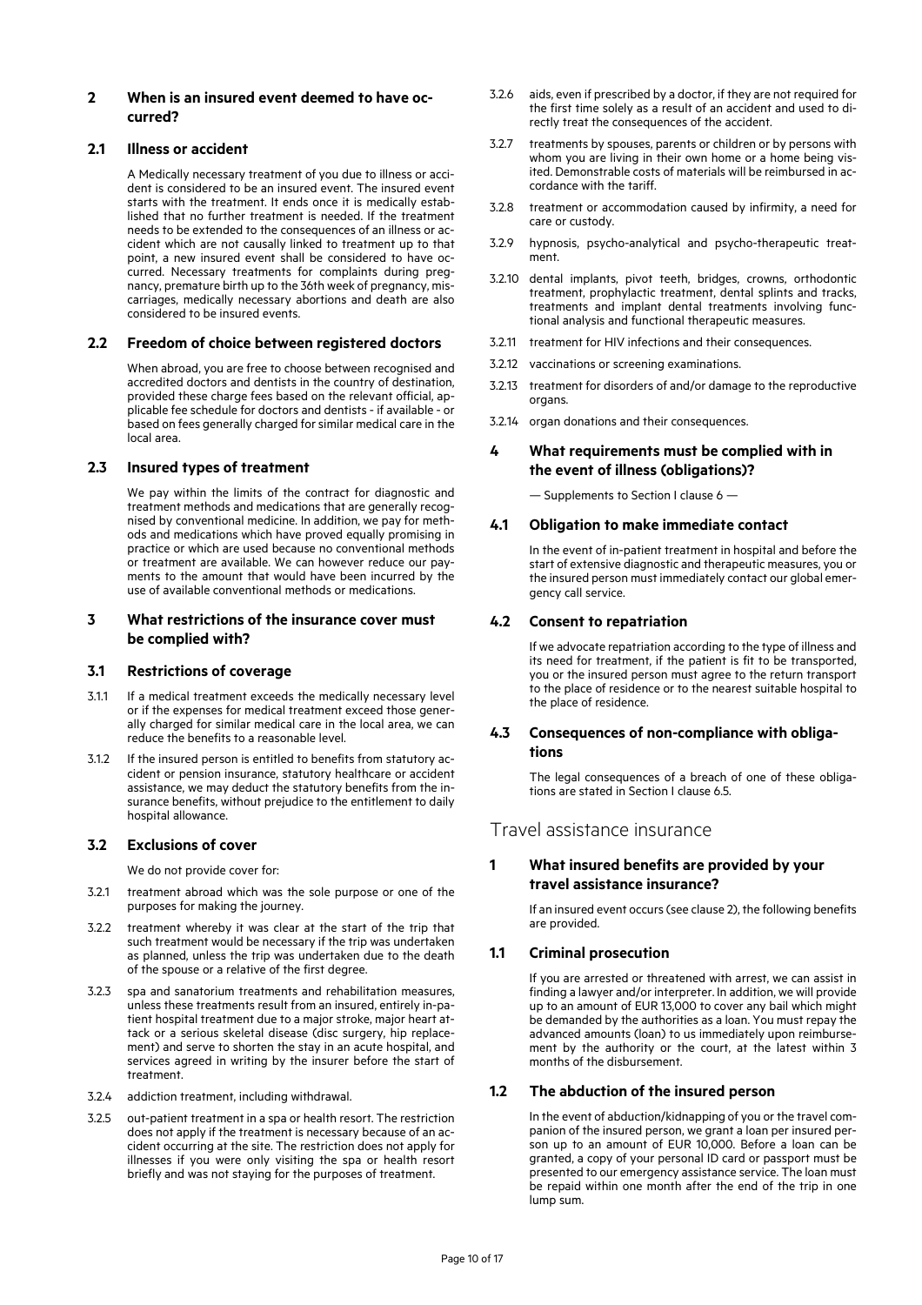### **2 When is an insured event deemed to have occurred?**

## **2.1 Illness or accident**

A Medically necessary treatment of you due to illness or accident is considered to be an insured event. The insured event starts with the treatment. It ends once it is medically established that no further treatment is needed. If the treatment needs to be extended to the consequences of an illness or accident which are not causally linked to treatment up to that point, a new insured event shall be considered to have occurred. Necessary treatments for complaints during pregnancy, premature birth up to the 36th week of pregnancy, miscarriages, medically necessary abortions and death are also considered to be insured events.

## **2.2 Freedom of choice between registered doctors**

When abroad, you are free to choose between recognised and accredited doctors and dentists in the country of destination, provided these charge fees based on the relevant official, applicable fee schedule for doctors and dentists - if available - or based on fees generally charged for similar medical care in the local area.

## **2.3 Insured types of treatment**

We pay within the limits of the contract for diagnostic and treatment methods and medications that are generally recognised by conventional medicine. In addition, we pay for methods and medications which have proved equally promising in practice or which are used because no conventional methods or treatment are available. We can however reduce our payments to the amount that would have been incurred by the use of available conventional methods or medications.

## **3 What restrictions of the insurance cover must be complied with?**

### **3.1 Restrictions of coverage**

- 3.1.1 If a medical treatment exceeds the medically necessary level or if the expenses for medical treatment exceed those generally charged for similar medical care in the local area, we can reduce the benefits to a reasonable level.
- 3.1.2 If the insured person is entitled to benefits from statutory accident or pension insurance, statutory healthcare or accident assistance, we may deduct the statutory benefits from the insurance benefits, without prejudice to the entitlement to daily hospital allowance.

### **3.2 Exclusions of cover**

We do not provide cover for:

- 3.2.1 treatment abroad which was the sole purpose or one of the purposes for making the journey.
- 3.2.2 treatment whereby it was clear at the start of the trip that such treatment would be necessary if the trip was undertaken as planned, unless the trip was undertaken due to the death of the spouse or a relative of the first degree.
- 3.2.3 spa and sanatorium treatments and rehabilitation measures, unless these treatments result from an insured, entirely in-patient hospital treatment due to a major stroke, major heart attack or a serious skeletal disease (disc surgery, hip replacement) and serve to shorten the stay in an acute hospital, and services agreed in writing by the insurer before the start of treatment.
- 3.2.4 addiction treatment, including withdrawal.
- 3.2.5 out-patient treatment in a spa or health resort. The restriction does not apply if the treatment is necessary because of an accident occurring at the site. The restriction does not apply for illnesses if you were only visiting the spa or health resort briefly and was not staying for the purposes of treatment.
- 3.2.6 aids, even if prescribed by a doctor, if they are not required for the first time solely as a result of an accident and used to directly treat the consequences of the accident.
- 3.2.7 treatments by spouses, parents or children or by persons with whom you are living in their own home or a home being visited. Demonstrable costs of materials will be reimbursed in accordance with the tariff.
- 3.2.8 treatment or accommodation caused by infirmity, a need for care or custody.
- 3.2.9 hypnosis, psycho-analytical and psycho-therapeutic treatment.
- 3.2.10 dental implants, pivot teeth, bridges, crowns, orthodontic treatment, prophylactic treatment, dental splints and tracks, treatments and implant dental treatments involving functional analysis and functional therapeutic measures.
- 3.2.11 treatment for HIV infections and their consequences.
- 3.2.12 vaccinations or screening examinations.
- 3.2.13 treatment for disorders of and/or damage to the reproductive organs.
- 3.2.14 organ donations and their consequences.

## **4 What requirements must be complied with in the event of illness (obligations)?**

— Supplements to Section I clause 6 —

## **4.1 Obligation to make immediate contact**

In the event of in-patient treatment in hospital and before the start of extensive diagnostic and therapeutic measures, you or the insured person must immediately contact our global emergency call service.

## **4.2 Consent to repatriation**

If we advocate repatriation according to the type of illness and its need for treatment, if the patient is fit to be transported, you or the insured person must agree to the return transport to the place of residence or to the nearest suitable hospital to the place of residence.

### **4.3 Consequences of non-compliance with obligations**

The legal consequences of a breach of one of these obligations are stated in Section I clause 6.5.

## Travel assistance insurance

## **1 What insured benefits are provided by your travel assistance insurance?**

If an insured event occurs (see clause 2), the following benefits are provided.

## **1.1 Criminal prosecution**

If you are arrested or threatened with arrest, we can assist in finding a lawyer and/or interpreter. In addition, we will provide up to an amount of EUR 13,000 to cover any bail which might be demanded by the authorities as a loan. You must repay the advanced amounts (loan) to us immediately upon reimbursement by the authority or the court, at the latest within 3 months of the disbursement.

### **1.2 The abduction of the insured person**

In the event of abduction/kidnapping of you or the travel companion of the insured person, we grant a loan per insured person up to an amount of EUR 10,000. Before a loan can be granted, a copy of your personal ID card or passport must be presented to our emergency assistance service. The loan must be repaid within one month after the end of the trip in one lump sum.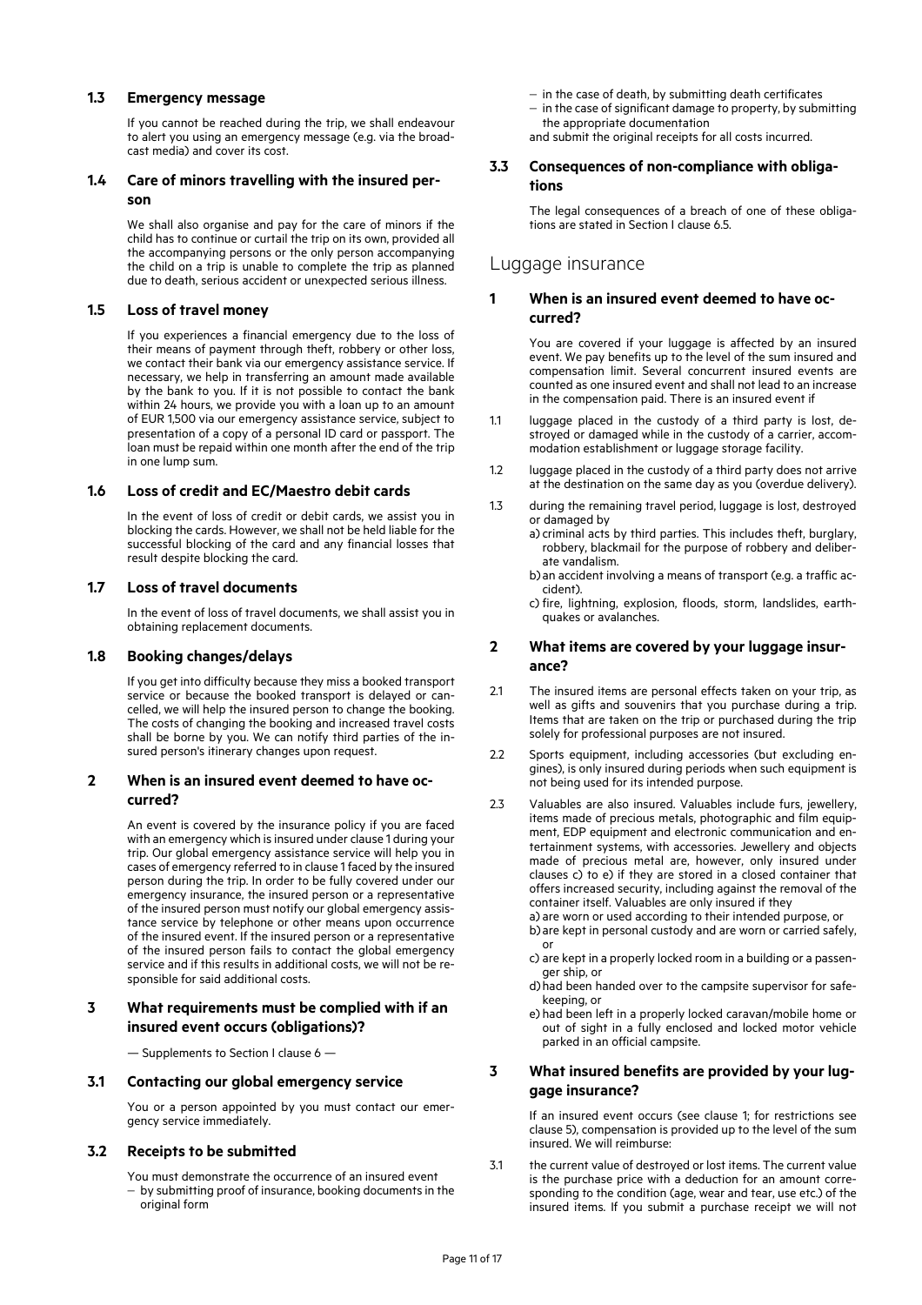#### **1.3 Emergency message**

If you cannot be reached during the trip, we shall endeavour to alert you using an emergency message (e.g. via the broadcast media) and cover its cost.

## **1.4 Care of minors travelling with the insured person**

We shall also organise and pay for the care of minors if the child has to continue or curtail the trip on its own, provided all the accompanying persons or the only person accompanying the child on a trip is unable to complete the trip as planned due to death, serious accident or unexpected serious illness.

## **1.5 Loss of travel money**

If you experiences a financial emergency due to the loss of their means of payment through theft, robbery or other loss, we contact their bank via our emergency assistance service. If necessary, we help in transferring an amount made available by the bank to you. If it is not possible to contact the bank within 24 hours, we provide you with a loan up to an amount of EUR 1,500 via our emergency assistance service, subject to presentation of a copy of a personal ID card or passport. The loan must be repaid within one month after the end of the trip in one lump sum.

### **1.6 Loss of credit and EC/Maestro debit cards**

In the event of loss of credit or debit cards, we assist you in blocking the cards. However, we shall not be held liable for the successful blocking of the card and any financial losses that result despite blocking the card.

### **1.7 Loss of travel documents**

In the event of loss of travel documents, we shall assist you in obtaining replacement documents.

### **1.8 Booking changes/delays**

If you get into difficulty because they miss a booked transport service or because the booked transport is delayed or cancelled, we will help the insured person to change the booking. The costs of changing the booking and increased travel costs shall be borne by you. We can notify third parties of the insured person's itinerary changes upon request.

## **2 When is an insured event deemed to have occurred?**

An event is covered by the insurance policy if you are faced with an emergency which is insured under clause 1 during your trip. Our global emergency assistance service will help you in cases of emergency referred to in clause 1 faced by the insured person during the trip. In order to be fully covered under our emergency insurance, the insured person or a representative of the insured person must notify our global emergency assistance service by telephone or other means upon occurrence of the insured event. If the insured person or a representative of the insured person fails to contact the global emergency service and if this results in additional costs, we will not be responsible for said additional costs.

## **3 What requirements must be complied with if an insured event occurs (obligations)?**

— Supplements to Section I clause 6 —

#### **3.1 Contacting our global emergency service**

You or a person appointed by you must contact our emergency service immediately.

### **3.2 Receipts to be submitted**

You must demonstrate the occurrence of an insured event by submitting proof of insurance, booking documents in the original form

- $-$  in the case of death, by submitting death certificates
- $-$  in the case of significant damage to property, by submitting the appropriate documentation
- and submit the original receipts for all costs incurred.

#### **3.3 Consequences of non-compliance with obligations**

The legal consequences of a breach of one of these obligations are stated in Section I clause 6.5.

## Luggage insurance

#### **1 When is an insured event deemed to have occurred?**

You are covered if your luggage is affected by an insured event. We pay benefits up to the level of the sum insured and compensation limit. Several concurrent insured events are counted as one insured event and shall not lead to an increase in the compensation paid. There is an insured event if

- 1.1 luggage placed in the custody of a third party is lost, destroyed or damaged while in the custody of a carrier, accommodation establishment or luggage storage facility.
- 1.2 luggage placed in the custody of a third party does not arrive at the destination on the same day as you (overdue delivery).
- 1.3 during the remaining travel period, luggage is lost, destroyed or damaged by
	- a) criminal acts by third parties. This includes theft, burglary, robbery, blackmail for the purpose of robbery and deliberate vandalism.
	- b)an accident involving a means of transport (e.g. a traffic accident).
	- c) fire, lightning, explosion, floods, storm, landslides, earthquakes or avalanches.

## **2 What items are covered by your luggage insurance?**

- 2.1 The insured items are personal effects taken on your trip, as well as gifts and souvenirs that you purchase during a trip. Items that are taken on the trip or purchased during the trip solely for professional purposes are not insured.
- 2.2 Sports equipment, including accessories (but excluding engines), is only insured during periods when such equipment is not being used for its intended purpose.
- 2.3 Valuables are also insured. Valuables include furs, jewellery, items made of precious metals, photographic and film equipment, EDP equipment and electronic communication and entertainment systems, with accessories. Jewellery and objects made of precious metal are, however, only insured under clauses c) to e) if they are stored in a closed container that offers increased security, including against the removal of the container itself. Valuables are only insured if they
	- a) are worn or used according to their intended purpose, or b)are kept in personal custody and are worn or carried safely, or
	- c) are kept in a properly locked room in a building or a passenger ship, or
	- d)had been handed over to the campsite supervisor for safekeeping, or
	- e) had been left in a properly locked caravan/mobile home or out of sight in a fully enclosed and locked motor vehicle parked in an official campsite.

## **3 What insured benefits are provided by your luggage insurance?**

If an insured event occurs (see clause 1; for restrictions see clause 5), compensation is provided up to the level of the sum insured. We will reimburse:

3.1 the current value of destroyed or lost items. The current value is the purchase price with a deduction for an amount corresponding to the condition (age, wear and tear, use etc.) of the insured items. If you submit a purchase receipt we will not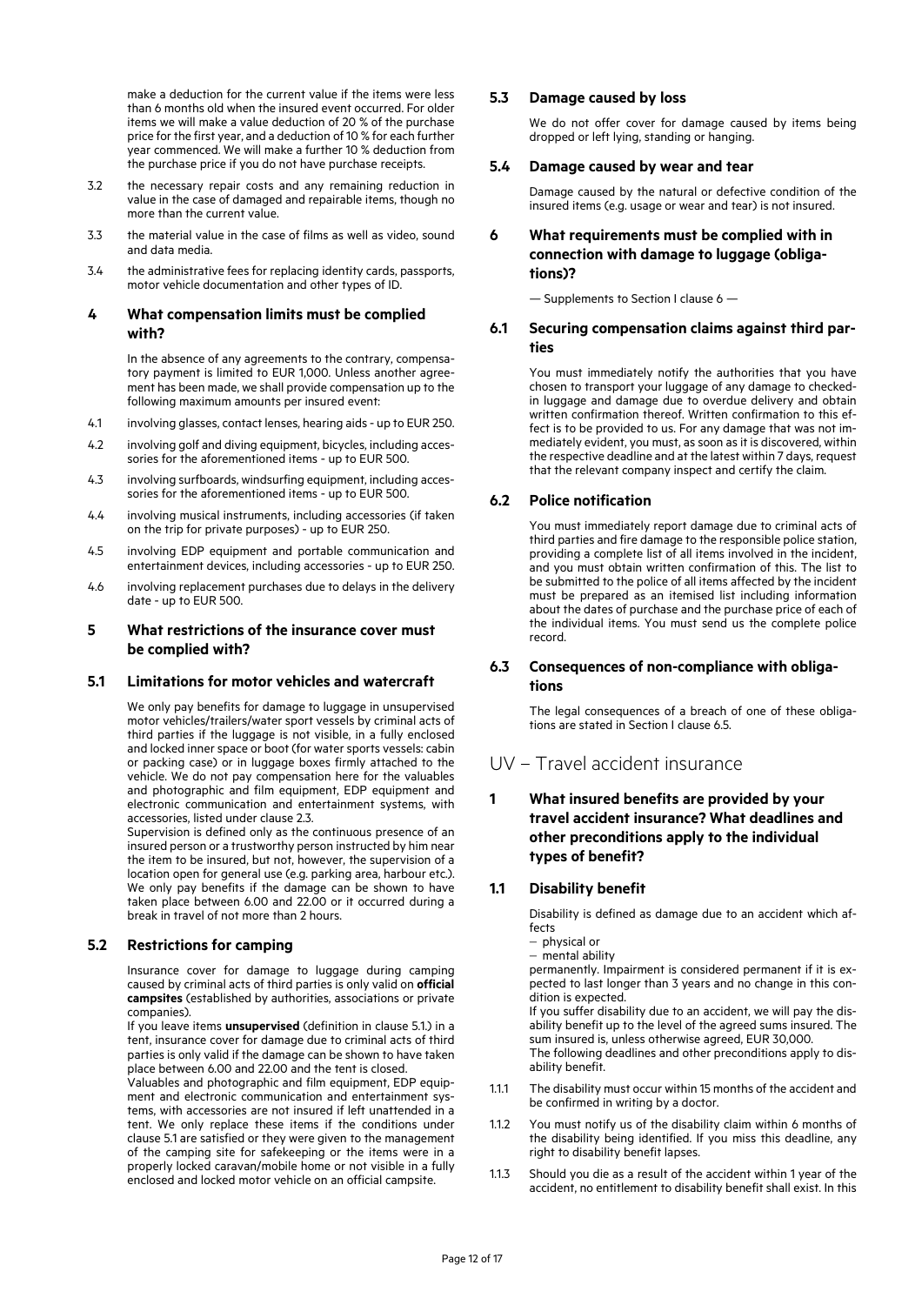make a deduction for the current value if the items were less than 6 months old when the insured event occurred. For older items we will make a value deduction of 20 % of the purchase price for the first year, and a deduction of 10 % for each further year commenced. We will make a further 10 % deduction from the purchase price if you do not have purchase receipts.

- 3.2 the necessary repair costs and any remaining reduction in value in the case of damaged and repairable items, though no more than the current value.
- 3.3 the material value in the case of films as well as video, sound and data media.
- 3.4 the administrative fees for replacing identity cards, passports, motor vehicle documentation and other types of ID.

## **4 What compensation limits must be complied with?**

In the absence of any agreements to the contrary, compensatory payment is limited to EUR 1,000. Unless another agreement has been made, we shall provide compensation up to the following maximum amounts per insured event:

- 4.1 involving glasses, contact lenses, hearing aids up to EUR 250.
- 4.2 involving golf and diving equipment, bicycles, including accessories for the aforementioned items - up to EUR 500.
- 4.3 involving surfboards, windsurfing equipment, including accessories for the aforementioned items - up to EUR 500.
- 4.4 involving musical instruments, including accessories (if taken on the trip for private purposes) - up to EUR 250.
- 4.5 involving EDP equipment and portable communication and entertainment devices, including accessories - up to EUR 250.
- 4.6 involving replacement purchases due to delays in the delivery date - up to EUR 500.

## **5 What restrictions of the insurance cover must be complied with?**

### **5.1 Limitations for motor vehicles and watercraft**

We only pay benefits for damage to luggage in unsupervised motor vehicles/trailers/water sport vessels by criminal acts of third parties if the luggage is not visible, in a fully enclosed and locked inner space or boot (for water sports vessels: cabin or packing case) or in luggage boxes firmly attached to the vehicle. We do not pay compensation here for the valuables and photographic and film equipment, EDP equipment and electronic communication and entertainment systems, with accessories, listed under clause 2.3.

Supervision is defined only as the continuous presence of an insured person or a trustworthy person instructed by him near the item to be insured, but not, however, the supervision of a location open for general use (e.g. parking area, harbour etc.). We only pay benefits if the damage can be shown to have taken place between 6.00 and 22.00 or it occurred during a break in travel of not more than 2 hours.

## **5.2 Restrictions for camping**

Insurance cover for damage to luggage during camping caused by criminal acts of third parties is only valid on **official campsites** (established by authorities, associations or private companies).

If you leave items **unsupervised** (definition in clause 5.1.) in a tent, insurance cover for damage due to criminal acts of third parties is only valid if the damage can be shown to have taken place between 6.00 and 22.00 and the tent is closed.

Valuables and photographic and film equipment, EDP equipment and electronic communication and entertainment systems, with accessories are not insured if left unattended in a tent. We only replace these items if the conditions under clause 5.1 are satisfied or they were given to the management of the camping site for safekeeping or the items were in a properly locked caravan/mobile home or not visible in a fully enclosed and locked motor vehicle on an official campsite.

## **5.3 Damage caused by loss**

We do not offer cover for damage caused by items being dropped or left lying, standing or hanging.

#### **5.4 Damage caused by wear and tear**

Damage caused by the natural or defective condition of the insured items (e.g. usage or wear and tear) is not insured.

## **6 What requirements must be complied with in connection with damage to luggage (obligations)?**

— Supplements to Section I clause 6 —

### **6.1 Securing compensation claims against third parties**

You must immediately notify the authorities that you have chosen to transport your luggage of any damage to checkedin luggage and damage due to overdue delivery and obtain written confirmation thereof. Written confirmation to this effect is to be provided to us. For any damage that was not immediately evident, you must, as soon as it is discovered, within the respective deadline and at the latest within 7 days, request that the relevant company inspect and certify the claim.

## **6.2 Police notification**

You must immediately report damage due to criminal acts of third parties and fire damage to the responsible police station, providing a complete list of all items involved in the incident, and you must obtain written confirmation of this. The list to be submitted to the police of all items affected by the incident must be prepared as an itemised list including information about the dates of purchase and the purchase price of each of the individual items. You must send us the complete police record.

## **6.3 Consequences of non-compliance with obligations**

The legal consequences of a breach of one of these obligations are stated in Section I clause 6.5.

## UV – Travel accident insurance

## **1 What insured benefits are provided by your travel accident insurance? What deadlines and other preconditions apply to the individual types of benefit?**

### **1.1 Disability benefit**

Disability is defined as damage due to an accident which affects

- $-$  physical or
- mental ability

permanently. Impairment is considered permanent if it is expected to last longer than 3 years and no change in this condition is expected.

If you suffer disability due to an accident, we will pay the disability benefit up to the level of the agreed sums insured. The sum insured is, unless otherwise agreed, EUR 30,000.

The following deadlines and other preconditions apply to disability benefit.

- 1.1.1 The disability must occur within 15 months of the accident and be confirmed in writing by a doctor.
- 1.1.2 You must notify us of the disability claim within 6 months of the disability being identified. If you miss this deadline, any right to disability benefit lapses.
- 1.1.3 Should you die as a result of the accident within 1 year of the accident, no entitlement to disability benefit shall exist. In this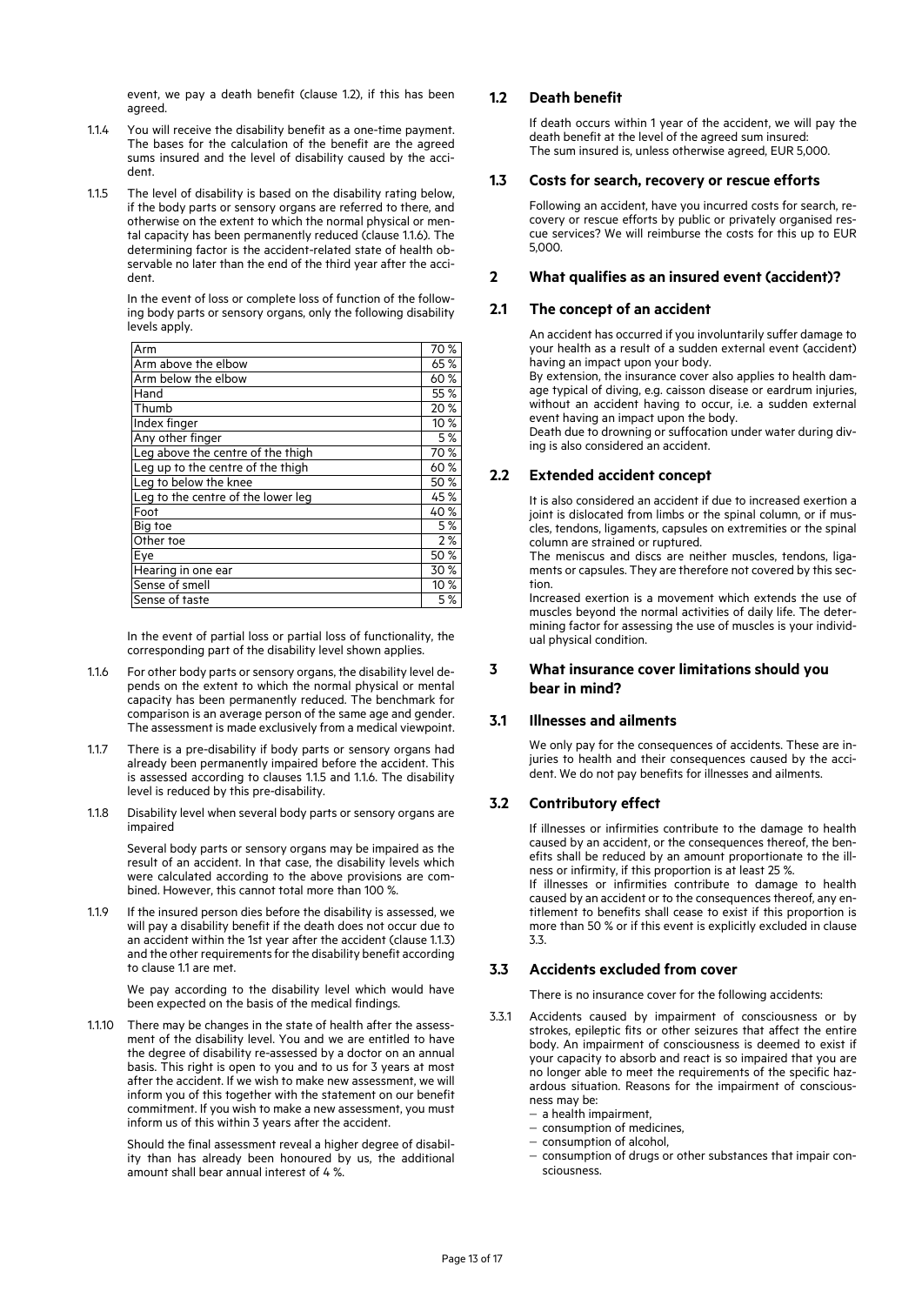event, we pay a death benefit (clause 1.2), if this has been agreed.

- 1.1.4 You will receive the disability benefit as a one-time payment. The bases for the calculation of the benefit are the agreed sums insured and the level of disability caused by the accident.
- 1.1.5 The level of disability is based on the disability rating below, if the body parts or sensory organs are referred to there, and otherwise on the extent to which the normal physical or mental capacity has been permanently reduced (clause 1.1.6). The determining factor is the accident-related state of health observable no later than the end of the third year after the accident.

In the event of loss or complete loss of function of the following body parts or sensory organs, only the following disability levels apply.

| Arm                                | 70 % |  |
|------------------------------------|------|--|
| Arm above the elbow                |      |  |
| Arm below the elbow                |      |  |
| Hand                               | 55 % |  |
| Thumb                              | 20 % |  |
| Index finger                       | 10%  |  |
| Any other finger                   | 5 %  |  |
| Leg above the centre of the thigh  | 70 % |  |
| Leg up to the centre of the thigh  | 60%  |  |
| Leg to below the knee              | 50 % |  |
| Leg to the centre of the lower leg | 45 % |  |
| Foot                               | 40 % |  |
| Big toe                            | 5 %  |  |
| Other toe                          | 2%   |  |
| Eye                                | 50 % |  |
| Hearing in one ear                 | 30 % |  |
| Sense of smell                     | 10 % |  |
| Sense of taste                     | 5 %  |  |

In the event of partial loss or partial loss of functionality, the corresponding part of the disability level shown applies.

- 1.1.6 For other body parts or sensory organs, the disability level depends on the extent to which the normal physical or mental capacity has been permanently reduced. The benchmark for comparison is an average person of the same age and gender. The assessment is made exclusively from a medical viewpoint.
- 1.1.7 There is a pre-disability if body parts or sensory organs had already been permanently impaired before the accident. This is assessed according to clauses 1.1.5 and 1.1.6. The disability level is reduced by this pre-disability.
- 1.1.8 Disability level when several body parts or sensory organs are impaired

Several body parts or sensory organs may be impaired as the result of an accident. In that case, the disability levels which were calculated according to the above provisions are combined. However, this cannot total more than 100 %.

1.1.9 If the insured person dies before the disability is assessed, we will pay a disability benefit if the death does not occur due to an accident within the 1st year after the accident (clause 1.1.3) and the other requirements for the disability benefit according to clause 1.1 are met.

> We pay according to the disability level which would have been expected on the basis of the medical findings.

1.1.10 There may be changes in the state of health after the assessment of the disability level. You and we are entitled to have the degree of disability re-assessed by a doctor on an annual basis. This right is open to you and to us for 3 years at most after the accident. If we wish to make new assessment, we will inform you of this together with the statement on our benefit commitment. If you wish to make a new assessment, you must inform us of this within 3 years after the accident.

> Should the final assessment reveal a higher degree of disability than has already been honoured by us, the additional amount shall bear annual interest of 4 %.

## **1.2 Death benefit**

If death occurs within 1 year of the accident, we will pay the death benefit at the level of the agreed sum insured: The sum insured is, unless otherwise agreed, EUR 5,000.

### **1.3 Costs for search, recovery or rescue efforts**

Following an accident, have you incurred costs for search, recovery or rescue efforts by public or privately organised rescue services? We will reimburse the costs for this up to EUR 5,000.

### **2 What qualifies as an insured event (accident)?**

## **2.1 The concept of an accident**

An accident has occurred if you involuntarily suffer damage to your health as a result of a sudden external event (accident) having an impact upon your body.

By extension, the insurance cover also applies to health damage typical of diving, e.g. caisson disease or eardrum injuries, without an accident having to occur, i.e. a sudden external event having an impact upon the body.

Death due to drowning or suffocation under water during diving is also considered an accident.

### **2.2 Extended accident concept**

It is also considered an accident if due to increased exertion a joint is dislocated from limbs or the spinal column, or if muscles, tendons, ligaments, capsules on extremities or the spinal column are strained or ruptured.

The meniscus and discs are neither muscles, tendons, ligaments or capsules. They are therefore not covered by this section.

Increased exertion is a movement which extends the use of muscles beyond the normal activities of daily life. The determining factor for assessing the use of muscles is your individual physical condition.

## **3 What insurance cover limitations should you bear in mind?**

### **3.1 Illnesses and ailments**

We only pay for the consequences of accidents. These are injuries to health and their consequences caused by the accident. We do not pay benefits for illnesses and ailments.

## **3.2 Contributory effect**

If illnesses or infirmities contribute to the damage to health caused by an accident, or the consequences thereof, the benefits shall be reduced by an amount proportionate to the illness or infirmity, if this proportion is at least 25 %. If illnesses or infirmities contribute to damage to health

caused by an accident or to the consequences thereof, any entitlement to benefits shall cease to exist if this proportion is more than 50 % or if this event is explicitly excluded in clause 3.3.

## **3.3 Accidents excluded from cover**

There is no insurance cover for the following accidents:

- 3.3.1 Accidents caused by impairment of consciousness or by strokes, epileptic fits or other seizures that affect the entire body. An impairment of consciousness is deemed to exist if your capacity to absorb and react is so impaired that you are no longer able to meet the requirements of the specific hazardous situation. Reasons for the impairment of consciousness may be:
	- $-$  a health impairment.
	- $-$  consumption of medicines,
	- consumption of alcohol,
	- consumption of drugs or other substances that impair consciousness.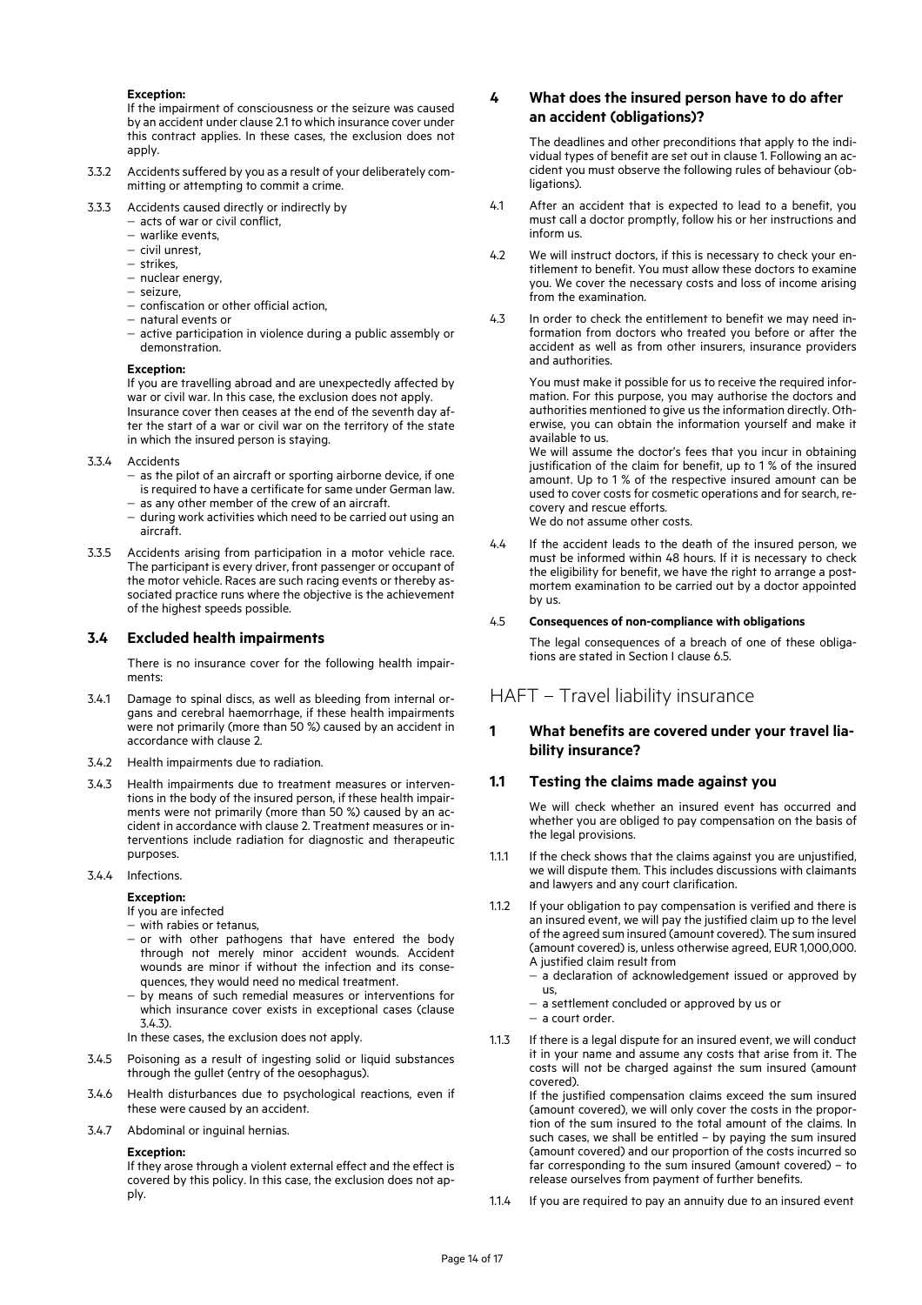#### **Exception:**

If the impairment of consciousness or the seizure was caused by an accident under clause 2.1 to which insurance cover under this contract applies. In these cases, the exclusion does not apply.

- 3.3.2 Accidents suffered by you as a result of your deliberately committing or attempting to commit a crime.
- 3.3.3 Accidents caused directly or indirectly by
	- acts of war or civil conflict,
	- warlike events,
	- civil unrest.
	- strikes,
	- nuclear energy,
	- seizure,
	- confiscation or other official action,
	- natural events or
	- active participation in violence during a public assembly or demonstration.

#### **Exception:**

If you are travelling abroad and are unexpectedly affected by war or civil war. In this case, the exclusion does not apply. Insurance cover then ceases at the end of the seventh day after the start of a war or civil war on the territory of the state in which the insured person is staying.

- 3.3.4 Accidents
	- $-$  as the pilot of an aircraft or sporting airborne device, if one is required to have a certificate for same under German law.
	- $-$  as any other member of the crew of an aircraft.
	- during work activities which need to be carried out using an aircraft.
- 3.3.5 Accidents arising from participation in a motor vehicle race. The participant is every driver, front passenger or occupant of the motor vehicle. Races are such racing events or thereby associated practice runs where the objective is the achievement of the highest speeds possible.

#### **3.4 Excluded health impairments**

There is no insurance cover for the following health impairments:

- 3.4.1 Damage to spinal discs, as well as bleeding from internal organs and cerebral haemorrhage, if these health impairments were not primarily (more than 50 %) caused by an accident in accordance with clause 2.
- 3.4.2 Health impairments due to radiation.
- 3.4.3 Health impairments due to treatment measures or interventions in the body of the insured person, if these health impairments were not primarily (more than 50 %) caused by an accident in accordance with clause 2. Treatment measures or interventions include radiation for diagnostic and therapeutic purposes.
- 3.4.4 Infections.

#### **Exception:**

If you are infected

- with rabies or tetanus,
- $-$  or with other pathogens that have entered the body through not merely minor accident wounds. Accident wounds are minor if without the infection and its consequences, they would need no medical treatment.
- by means of such remedial measures or interventions for which insurance cover exists in exceptional cases (clause 3.4.3).
- In these cases, the exclusion does not apply.
- 3.4.5 Poisoning as a result of ingesting solid or liquid substances through the gullet (entry of the oesophagus).
- 3.4.6 Health disturbances due to psychological reactions, even if these were caused by an accident.
- 3.4.7 Abdominal or inguinal hernias.

#### **Exception:**

If they arose through a violent external effect and the effect is covered by this policy. In this case, the exclusion does not apply.

#### **4 What does the insured person have to do after an accident (obligations)?**

The deadlines and other preconditions that apply to the individual types of benefit are set out in clause 1. Following an accident you must observe the following rules of behaviour (obligations).

- 4.1 After an accident that is expected to lead to a benefit, you must call a doctor promptly, follow his or her instructions and inform us.
- 4.2 We will instruct doctors, if this is necessary to check your entitlement to benefit. You must allow these doctors to examine you. We cover the necessary costs and loss of income arising from the examination.
- 4.3 In order to check the entitlement to benefit we may need information from doctors who treated you before or after the accident as well as from other insurers, insurance providers and authorities.

You must make it possible for us to receive the required information. For this purpose, you may authorise the doctors and authorities mentioned to give us the information directly. Otherwise, you can obtain the information yourself and make it available to us.

We will assume the doctor's fees that you incur in obtaining justification of the claim for benefit, up to 1 % of the insured amount. Up to 1 % of the respective insured amount can be used to cover costs for cosmetic operations and for search, recovery and rescue efforts. We do not assume other costs.

4.4 If the accident leads to the death of the insured person, we must be informed within 48 hours. If it is necessary to check the eligibility for benefit, we have the right to arrange a postmortem examination to be carried out by a doctor appointed by us.

#### 4.5 **Consequences of non-compliance with obligations**

The legal consequences of a breach of one of these obligations are stated in Section I clause 6.5.

## HAFT – Travel liability insurance

## **1 What benefits are covered under your travel liability insurance?**

### **1.1 Testing the claims made against you**

We will check whether an insured event has occurred and whether you are obliged to pay compensation on the basis of the legal provisions.

- 1.1.1 If the check shows that the claims against you are unjustified, we will dispute them. This includes discussions with claimants and lawyers and any court clarification.
- 1.1.2 If your obligation to pay compensation is verified and there is an insured event, we will pay the justified claim up to the level of the agreed sum insured (amount covered). The sum insured (amount covered) is, unless otherwise agreed, EUR 1,000,000. A justified claim result from
	- a declaration of acknowledgement issued or approved by us,
	- a settlement concluded or approved by us or
	- a court order.
- 1.1.3 If there is a legal dispute for an insured event, we will conduct it in your name and assume any costs that arise from it. The costs will not be charged against the sum insured (amount covered).

If the justified compensation claims exceed the sum insured (amount covered), we will only cover the costs in the proportion of the sum insured to the total amount of the claims. In such cases, we shall be entitled – by paying the sum insured (amount covered) and our proportion of the costs incurred so far corresponding to the sum insured (amount covered) – to release ourselves from payment of further benefits.

1.1.4 If you are required to pay an annuity due to an insured event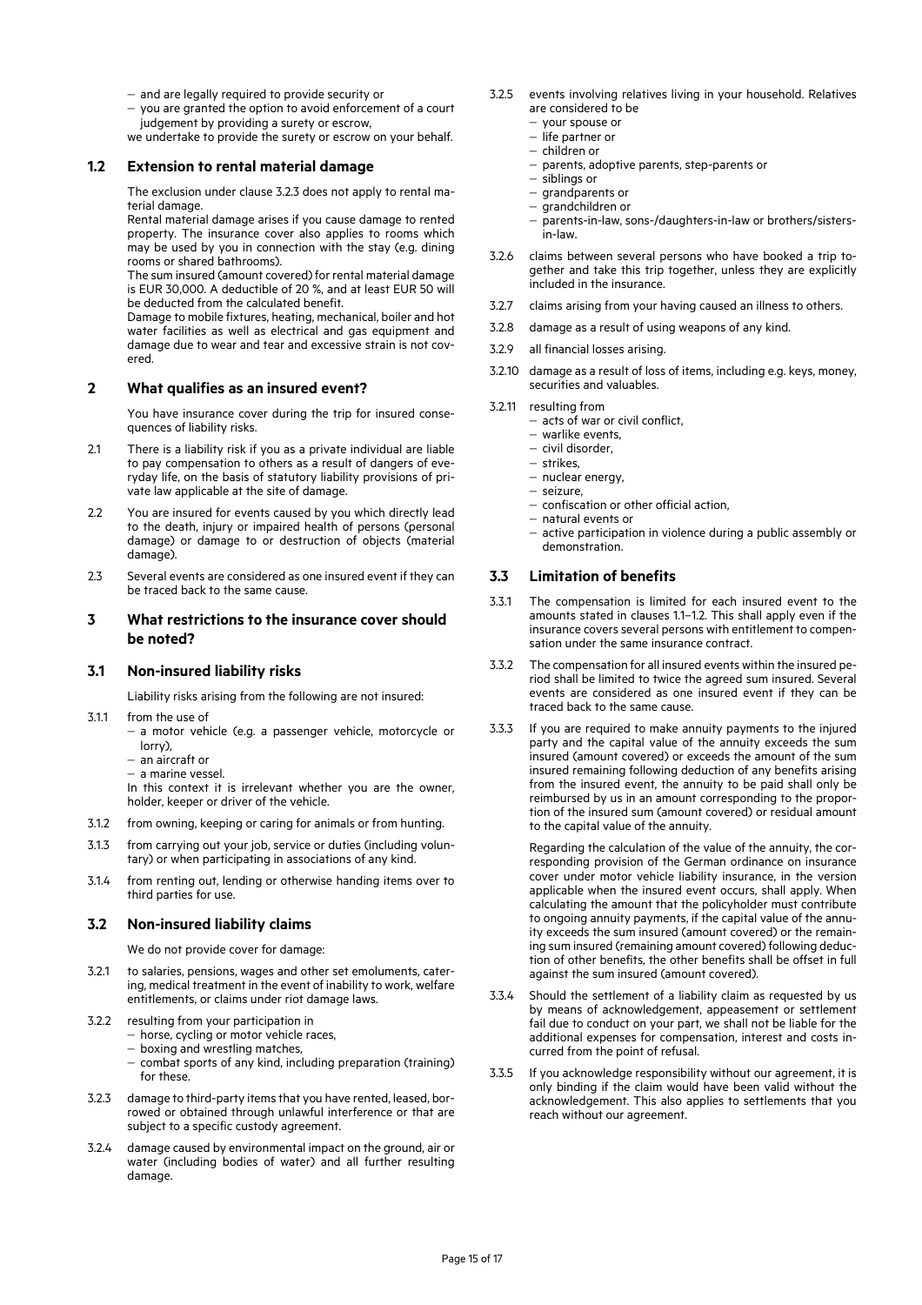- and are legally required to provide security or
- you are granted the option to avoid enforcement of a court judgement by providing a surety or escrow,

we undertake to provide the surety or escrow on your behalf.

#### **1.2 Extension to rental material damage**

The exclusion under clause 3.2.3 does not apply to rental material damage.

Rental material damage arises if you cause damage to rented property. The insurance cover also applies to rooms which may be used by you in connection with the stay (e.g. dining rooms or shared bathrooms).

The sum insured (amount covered) for rental material damage is EUR 30,000. A deductible of 20 %, and at least EUR 50 will be deducted from the calculated benefit.

Damage to mobile fixtures, heating, mechanical, boiler and hot water facilities as well as electrical and gas equipment and damage due to wear and tear and excessive strain is not covered.

#### **2 What qualifies as an insured event?**

You have insurance cover during the trip for insured consequences of liability risks.

- 2.1 There is a liability risk if you as a private individual are liable to pay compensation to others as a result of dangers of everyday life, on the basis of statutory liability provisions of private law applicable at the site of damage.
- 2.2 You are insured for events caused by you which directly lead to the death, injury or impaired health of persons (personal damage) or damage to or destruction of objects (material damage).
- 2.3 Several events are considered as one insured event if they can be traced back to the same cause.

#### **3 What restrictions to the insurance cover should be noted?**

#### **3.1 Non-insured liability risks**

Liability risks arising from the following are not insured:

- 3.1.1 from the use of
	- a motor vehicle (e.g. a passenger vehicle, motorcycle or lorry),
	- an aircraft or
	- a marine vessel.

In this context it is irrelevant whether you are the owner, holder, keeper or driver of the vehicle.

- 3.1.2 from owning, keeping or caring for animals or from hunting.
- 3.1.3 from carrying out your job, service or duties (including voluntary) or when participating in associations of any kind.
- 3.1.4 from renting out, lending or otherwise handing items over to third parties for use.

#### **3.2 Non-insured liability claims**

We do not provide cover for damage:

- 3.2.1 to salaries, pensions, wages and other set emoluments, catering, medical treatment in the event of inability to work, welfare entitlements, or claims under riot damage laws.
- 3.2.2 resulting from your participation in
	- horse, cycling or motor vehicle races,
	- boxing and wrestling matches,
	- combat sports of any kind, including preparation (training) for these.
- 3.2.3 damage to third-party items that you have rented, leased, borrowed or obtained through unlawful interference or that are subject to a specific custody agreement.
- 3.2.4 damage caused by environmental impact on the ground, air or water (including bodies of water) and all further resulting damage.
- 3.2.5 events involving relatives living in your household. Relatives are considered to be
	- your spouse or
	- life partner or
	- children or
	- parents, adoptive parents, step-parents or
	- siblings or
	- $-$  grandparents or
	- $-$  grandchildren or
	- parents-in-law, sons-/daughters-in-law or brothers/sistersin-law.
- 3.2.6 claims between several persons who have booked a trip together and take this trip together, unless they are explicitly included in the insurance.
- 3.2.7 claims arising from your having caused an illness to others.
- 3.2.8 damage as a result of using weapons of any kind.
- 3.2.9 all financial losses arising.
- 3.2.10 damage as a result of loss of items, including e.g. keys, money, securities and valuables.
- 3.2.11 resulting from
	- acts of war or civil conflict,
	- warlike events,
	- civil disorder, strikes,
	- nuclear energy,
	- seizure.
	- confiscation or other official action,
	- natural events or
	- active participation in violence during a public assembly or demonstration.

#### **3.3 Limitation of benefits**

- 3.3.1 The compensation is limited for each insured event to the amounts stated in clauses 1.1–1.2. This shall apply even if the insurance covers several persons with entitlement to compensation under the same insurance contract.
- 3.3.2 The compensation for all insured events within the insured period shall be limited to twice the agreed sum insured. Several events are considered as one insured event if they can be traced back to the same cause.
- 3.3.3 If you are required to make annuity payments to the injured party and the capital value of the annuity exceeds the sum insured (amount covered) or exceeds the amount of the sum insured remaining following deduction of any benefits arising from the insured event, the annuity to be paid shall only be reimbursed by us in an amount corresponding to the proportion of the insured sum (amount covered) or residual amount to the capital value of the annuity.

Regarding the calculation of the value of the annuity, the corresponding provision of the German ordinance on insurance cover under motor vehicle liability insurance, in the version applicable when the insured event occurs, shall apply. When calculating the amount that the policyholder must contribute to ongoing annuity payments, if the capital value of the annuity exceeds the sum insured (amount covered) or the remaining sum insured (remaining amount covered) following deduction of other benefits, the other benefits shall be offset in full against the sum insured (amount covered).

- 3.3.4 Should the settlement of a liability claim as requested by us by means of acknowledgement, appeasement or settlement fail due to conduct on your part, we shall not be liable for the additional expenses for compensation, interest and costs incurred from the point of refusal.
- 3.3.5 If you acknowledge responsibility without our agreement, it is only binding if the claim would have been valid without the acknowledgement. This also applies to settlements that you reach without our agreement.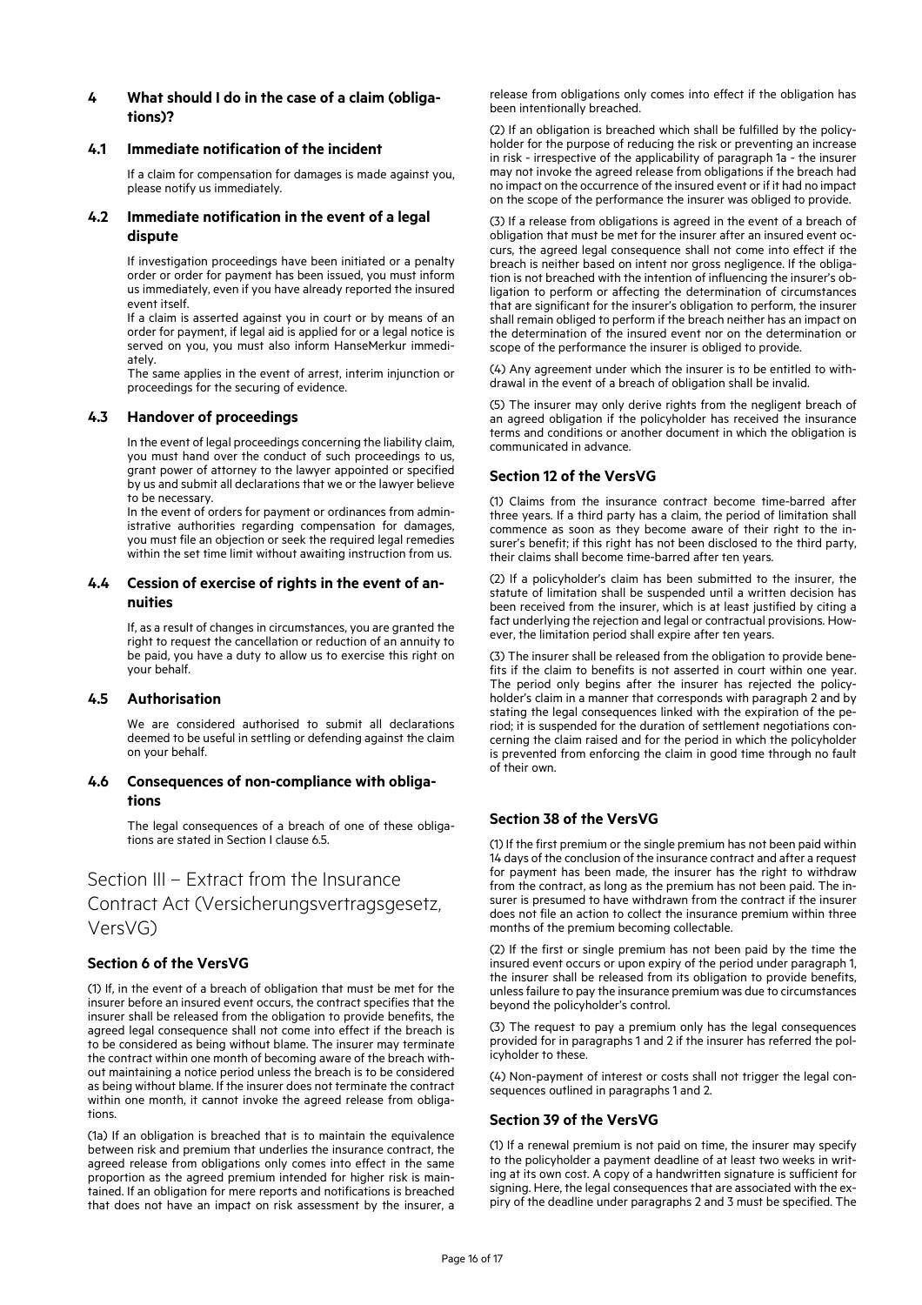## **4 What should I do in the case of a claim (obligations)?**

### **4.1 Immediate notification of the incident**

If a claim for compensation for damages is made against you, please notify us immediately.

### **4.2 Immediate notification in the event of a legal dispute**

If investigation proceedings have been initiated or a penalty order or order for payment has been issued, you must inform us immediately, even if you have already reported the insured event itself.

If a claim is asserted against you in court or by means of an order for payment, if legal aid is applied for or a legal notice is served on you, you must also inform HanseMerkur immediately.

The same applies in the event of arrest, interim injunction or proceedings for the securing of evidence.

## **4.3 Handover of proceedings**

In the event of legal proceedings concerning the liability claim, you must hand over the conduct of such proceedings to us, grant power of attorney to the lawyer appointed or specified by us and submit all declarations that we or the lawyer believe to be necessary.

In the event of orders for payment or ordinances from administrative authorities regarding compensation for damages, you must file an objection or seek the required legal remedies within the set time limit without awaiting instruction from us.

## **4.4 Cession of exercise of rights in the event of annuities**

If, as a result of changes in circumstances, you are granted the right to request the cancellation or reduction of an annuity to be paid, you have a duty to allow us to exercise this right on your behalf.

### **4.5 Authorisation**

We are considered authorised to submit all declarations deemed to be useful in settling or defending against the claim on your behalf.

## **4.6 Consequences of non-compliance with obligations**

The legal consequences of a breach of one of these obligations are stated in Section I clause 6.5.

## Section III – Extract from the Insurance

Contract Act (Versicherungsvertragsgesetz, VersVG)

## **Section 6 of the VersVG**

(1) If, in the event of a breach of obligation that must be met for the insurer before an insured event occurs, the contract specifies that the insurer shall be released from the obligation to provide benefits, the agreed legal consequence shall not come into effect if the breach is to be considered as being without blame. The insurer may terminate the contract within one month of becoming aware of the breach without maintaining a notice period unless the breach is to be considered as being without blame. If the insurer does not terminate the contract within one month, it cannot invoke the agreed release from obligations.

(1a) If an obligation is breached that is to maintain the equivalence between risk and premium that underlies the insurance contract, the agreed release from obligations only comes into effect in the same proportion as the agreed premium intended for higher risk is maintained. If an obligation for mere reports and notifications is breached that does not have an impact on risk assessment by the insurer, a

release from obligations only comes into effect if the obligation has been intentionally breached.

(2) If an obligation is breached which shall be fulfilled by the policyholder for the purpose of reducing the risk or preventing an increase in risk - irrespective of the applicability of paragraph 1a - the insurer may not invoke the agreed release from obligations if the breach had no impact on the occurrence of the insured event or if it had no impact on the scope of the performance the insurer was obliged to provide.

(3) If a release from obligations is agreed in the event of a breach of obligation that must be met for the insurer after an insured event occurs, the agreed legal consequence shall not come into effect if the breach is neither based on intent nor gross negligence. If the obligation is not breached with the intention of influencing the insurer's obligation to perform or affecting the determination of circumstances that are significant for the insurer's obligation to perform, the insurer shall remain obliged to perform if the breach neither has an impact on the determination of the insured event nor on the determination or scope of the performance the insurer is obliged to provide.

(4) Any agreement under which the insurer is to be entitled to withdrawal in the event of a breach of obligation shall be invalid.

(5) The insurer may only derive rights from the negligent breach of an agreed obligation if the policyholder has received the insurance terms and conditions or another document in which the obligation is communicated in advance.

## **Section 12 of the VersVG**

(1) Claims from the insurance contract become time-barred after three years. If a third party has a claim, the period of limitation shall commence as soon as they become aware of their right to the insurer's benefit; if this right has not been disclosed to the third party, their claims shall become time-barred after ten years.

(2) If a policyholder's claim has been submitted to the insurer, the statute of limitation shall be suspended until a written decision has been received from the insurer, which is at least justified by citing a fact underlying the rejection and legal or contractual provisions. However, the limitation period shall expire after ten years.

(3) The insurer shall be released from the obligation to provide benefits if the claim to benefits is not asserted in court within one year. The period only begins after the insurer has rejected the policyholder's claim in a manner that corresponds with paragraph 2 and by stating the legal consequences linked with the expiration of the period; it is suspended for the duration of settlement negotiations concerning the claim raised and for the period in which the policyholder is prevented from enforcing the claim in good time through no fault of their own.

## **Section 38 of the VersVG**

(1) If the first premium or the single premium has not been paid within 14 days of the conclusion of the insurance contract and after a request for payment has been made, the insurer has the right to withdraw from the contract, as long as the premium has not been paid. The insurer is presumed to have withdrawn from the contract if the insurer does not file an action to collect the insurance premium within three months of the premium becoming collectable.

(2) If the first or single premium has not been paid by the time the insured event occurs or upon expiry of the period under paragraph 1, the insurer shall be released from its obligation to provide benefits, unless failure to pay the insurance premium was due to circumstances beyond the policyholder's control.

(3) The request to pay a premium only has the legal consequences provided for in paragraphs 1 and 2 if the insurer has referred the policyholder to these.

(4) Non-payment of interest or costs shall not trigger the legal consequences outlined in paragraphs 1 and 2.

### **Section 39 of the VersVG**

(1) If a renewal premium is not paid on time, the insurer may specify to the policyholder a payment deadline of at least two weeks in writing at its own cost. A copy of a handwritten signature is sufficient for signing. Here, the legal consequences that are associated with the expiry of the deadline under paragraphs 2 and 3 must be specified. The